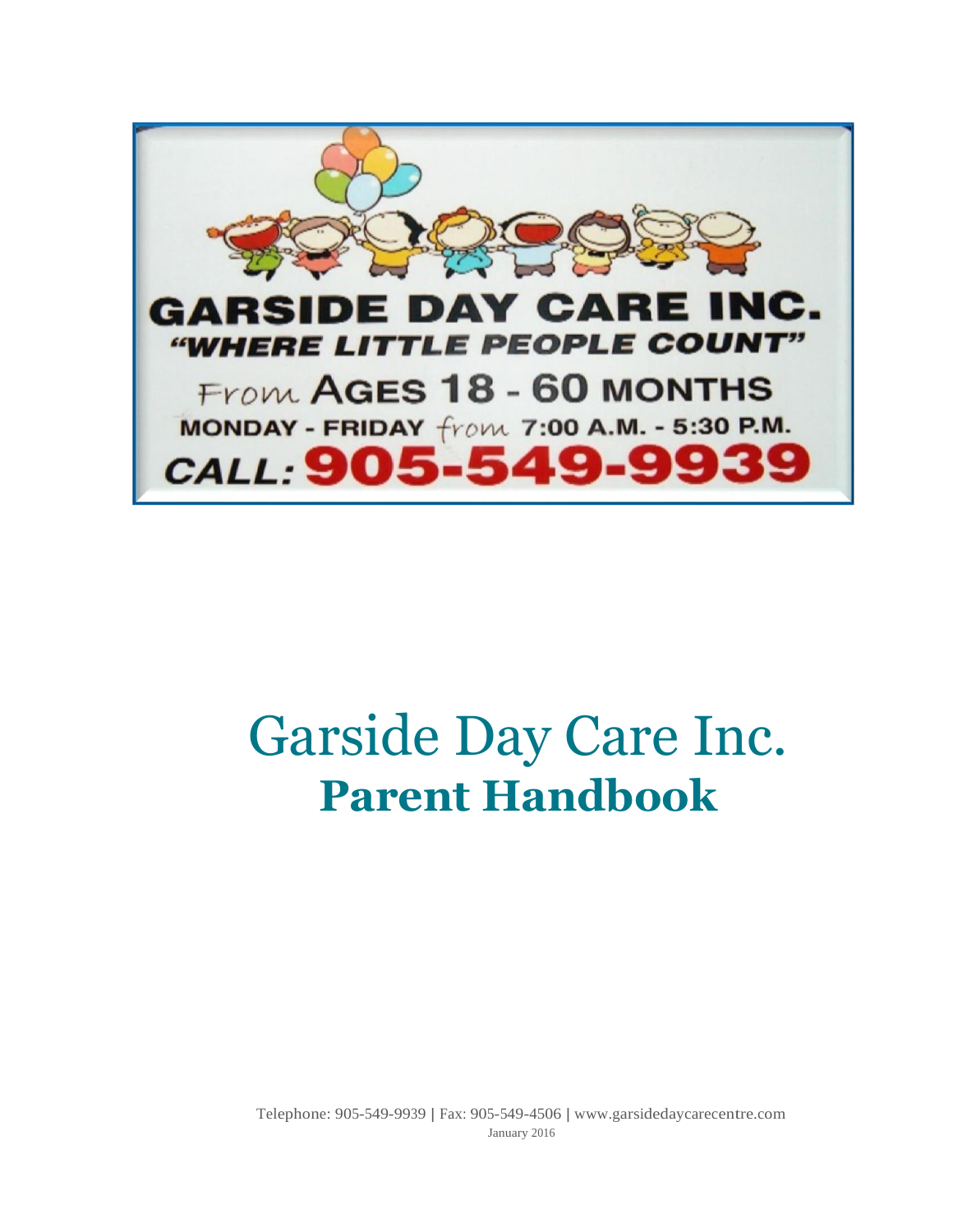

# Garside Day Care Inc. **Parent Handbook**

Telephone: 905-549-9939 | Fax: 905-549-4506 | [www.garsidedaycarecentre.com](http://www.garsidedaycarecentre.com/) January 2016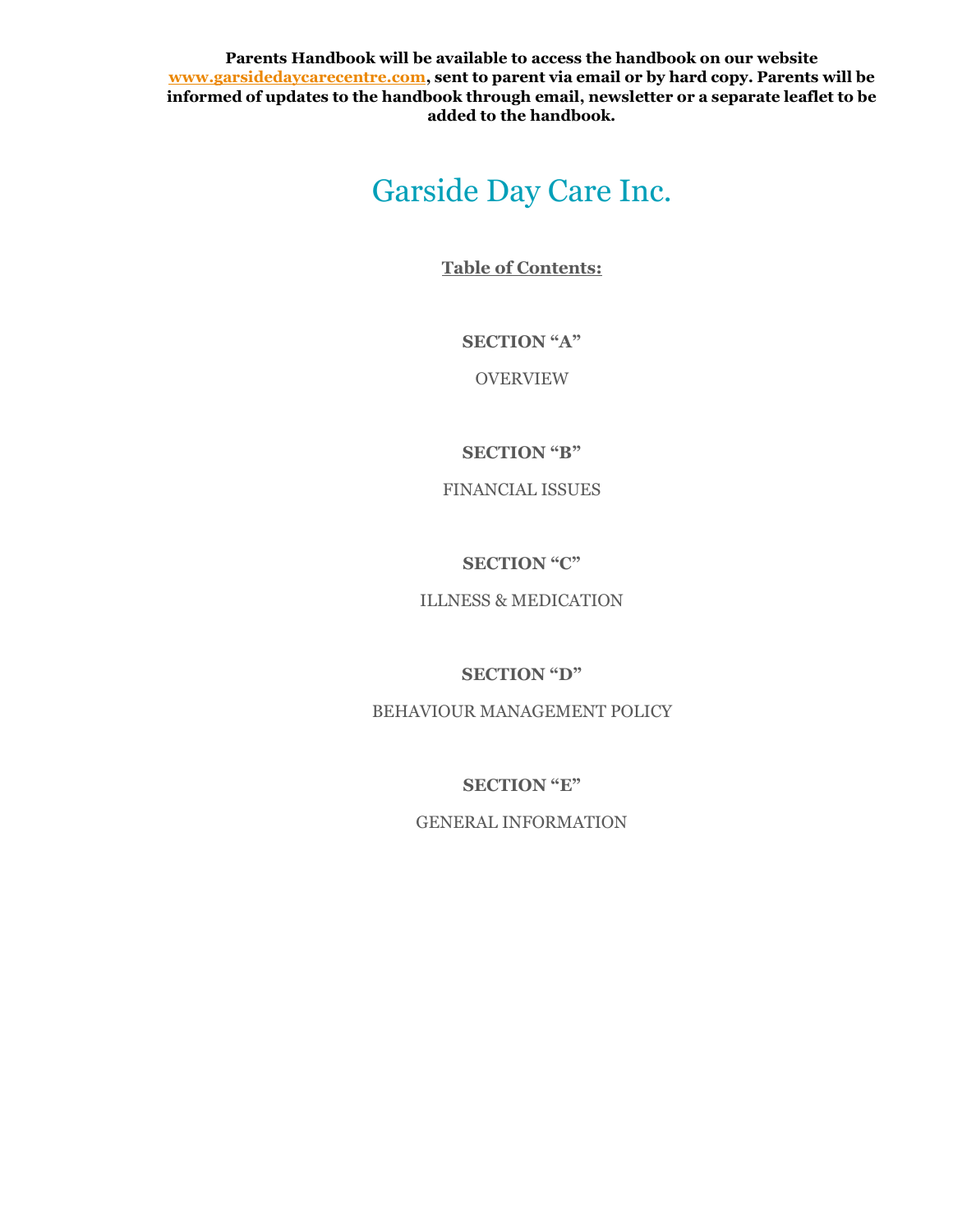**Parents Handbook will be available to access the handbook on our website [www.garsidedaycarecentre.com,](http://www.garsidedaycarecentre.com/) sent to parent via email or by hard copy. Parents will be informed of updates to the handbook through email, newsletter or a separate leaflet to be added to the handbook.**

# Garside Day Care Inc.

**Table of Contents:**

**SECTION "A"**

OVERVIEW

**SECTION "B"**

FINANCIAL ISSUES

**SECTION "C"**

ILLNESS & MEDICATION

**SECTION "D"**

BEHAVIOUR MANAGEMENT POLICY

**SECTION "E"**

GENERAL INFORMATION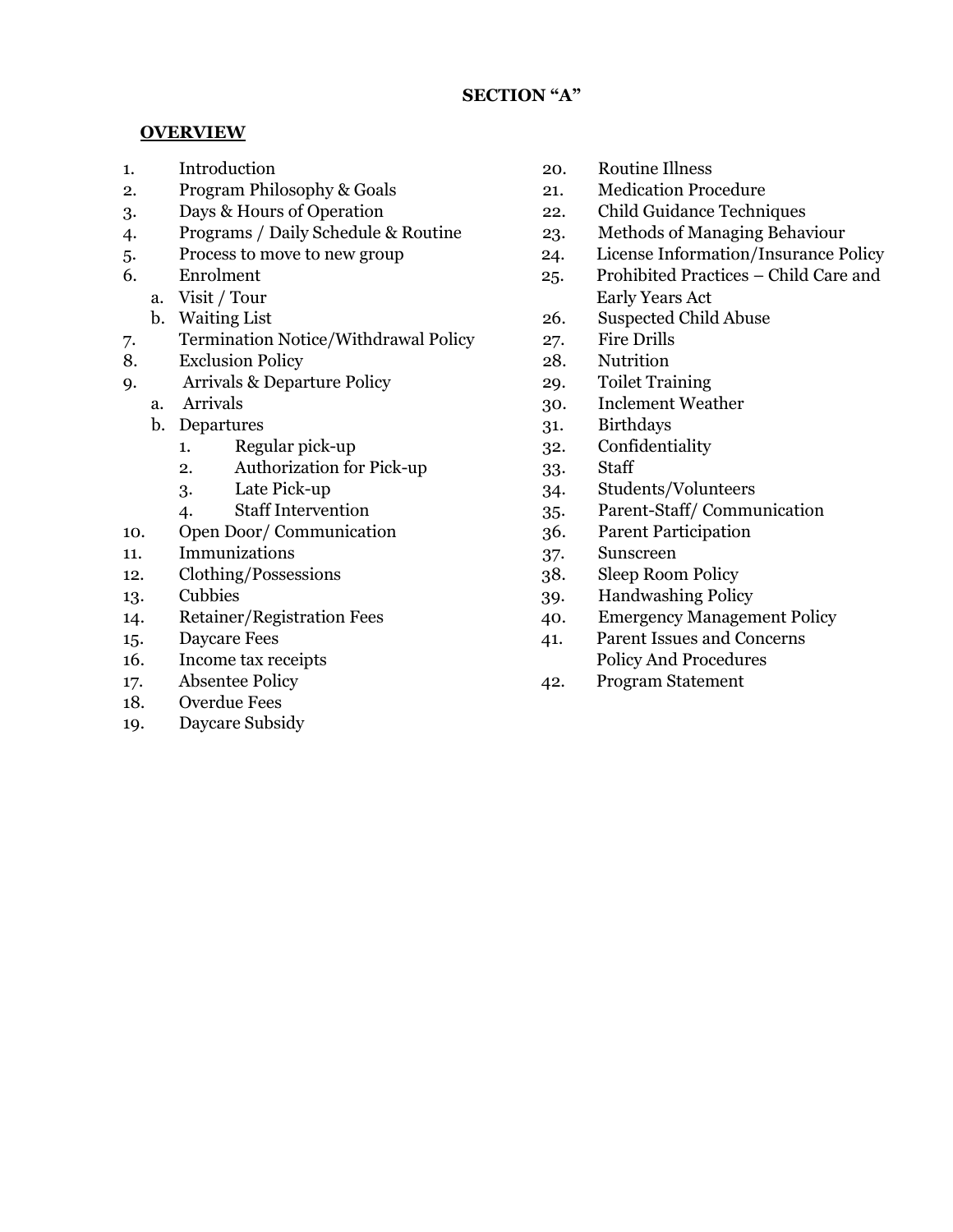#### **OVERVIEW**

- 
- 2. Program Philosophy & Goals 21. Medication Procedure
- 3. Days & Hours of Operation 22. Child Guidance Techniques
- 4. Programs / Daily Schedule & Routine 23. Methods of Managing Behaviour
- 
- - a. Visit / Tour
	- b. Waiting List 26.
- 7. Termination Notice/Withdrawal Policy 27. Fire Drills
- 8. Exclusion Policy 28. Nutrition
- 9. Arrivals & Departure Policy 29. Toilet Training
	-
	- - 1. Regular pick-up 32. Confidentiality
		- 2. Authorization for Pick-up 33. Staff
		-
		-
- 10. Open Door/ Communication 36. Parent Participation
- 11. Immunizations 37. Sunscreen
- 12. Clothing/Possessions 38. Sleep Room Policy
- 
- 
- 
- 16. Income tax receipts Policy And Procedures
- 
- 18. Overdue Fees
- 19. Daycare Subsidy
- 1. Introduction 20. Routine Illness
	-
	-
	-
- 5. Process to move to new group 24. License Information/Insurance Policy
- 6. Enrolment 25. Prohibited Practices Child Care and Early Years Act
	- Suspected Child Abuse
	-
	-
	-
	- a. Arrivals 30. Inclement Weather
	- b. Departures 31. Birthdays
		-
		-
		- 3. Late Pick-up 34. Students/Volunteers
		- 4. Staff Intervention 35. Parent-Staff/ Communication
			-
			-
			-
- 13. Cubbies 39. Handwashing Policy
- 14. Retainer/Registration Fees 40. Emergency Management Policy
- 15. Daycare Fees 41. Parent Issues and Concerns
- 17. Absentee Policy 42. Program Statement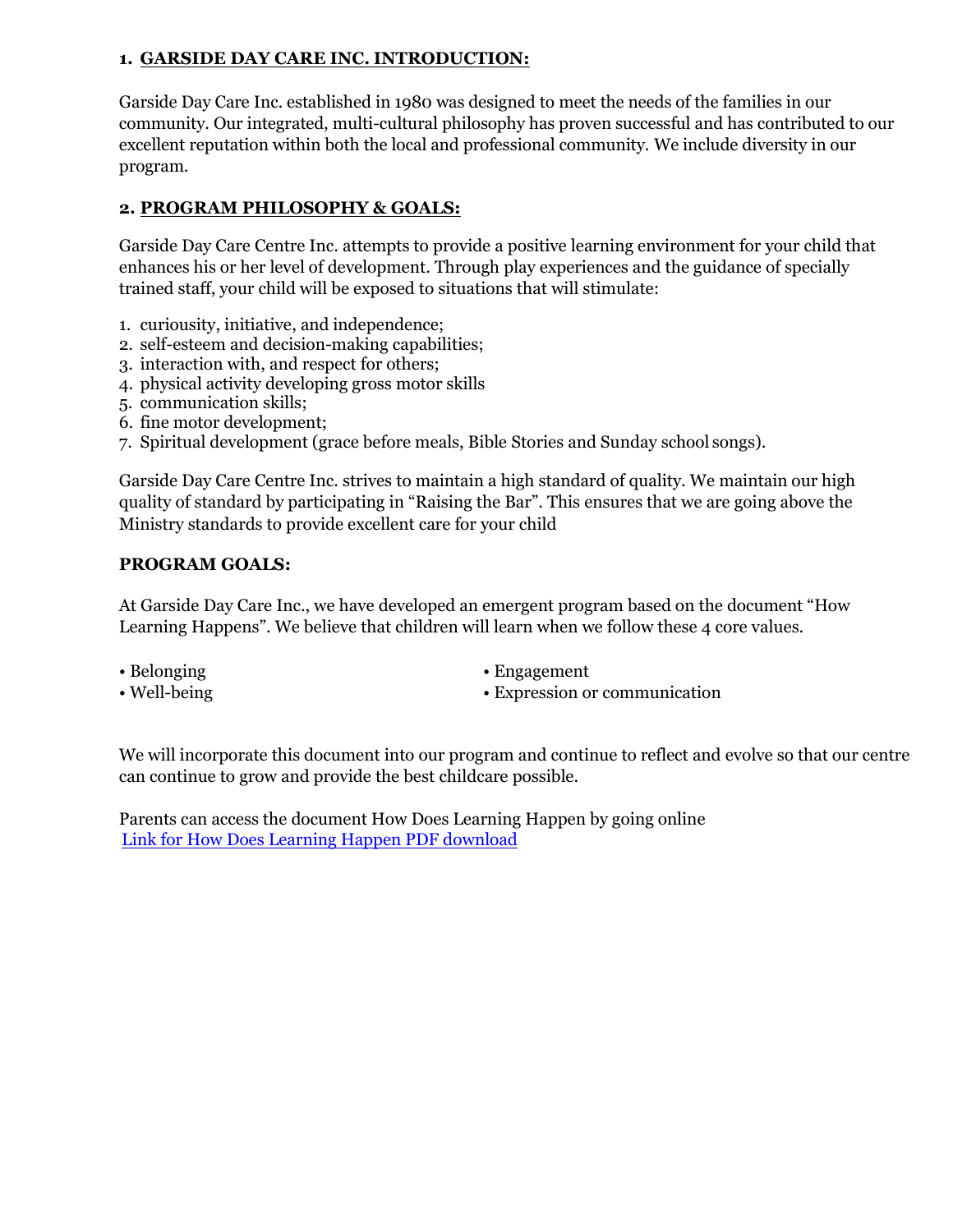# **1. GARSIDE DAY CARE INC. INTRODUCTION:**

Garside Day Care Inc. established in 1980 was designed to meet the needs of the families in our community. Our integrated, multi-cultural philosophy has proven successful and has contributed to our excellent reputation within both the local and professional community. We include diversity in our program.

# **2. PROGRAM PHILOSOPHY & GOALS:**

Garside Day Care Centre Inc. attempts to provide a positive learning environment for your child that enhances his or her level of development. Through play experiences and the guidance of specially trained staff, your child will be exposed to situations that will stimulate:

- 1. curiousity, initiative, and independence;
- 2. self-esteem and decision-making capabilities;
- 3. interaction with, and respect for others;
- 4. physical activity developing gross motor skills
- 5. communication skills;
- 6. fine motor development;
- 7. Spiritual development (grace before meals, Bible Stories and Sunday school songs).

Garside Day Care Centre Inc. strives to maintain a high standard of quality. We maintain our high quality of standard by participating in "Raising the Bar". This ensures that we are going above the Ministry standards to provide excellent care for your child

## **PROGRAM GOALS:**

At Garside Day Care Inc., we have developed an emergent program based on the document "How Learning Happens". We believe that children will learn when we follow these 4 core values.

- Belonging
- Well-being
- Engagement
- Expression or communication

We will incorporate this document into our program and continue to reflect and evolve so that our centre can continue to grow and provide the best childcare possible.

Parents can access the document How Does Learning Happen by going online [Link for How Does Learning Happen PDF download](file:///C:/Users/Lisa/Documents/Policies%20for%20Ministry%20visitsFINAL%20COPIES/www.ontario.ca/page/how-does-learning-happen-ontarios-pedagogy-early-years)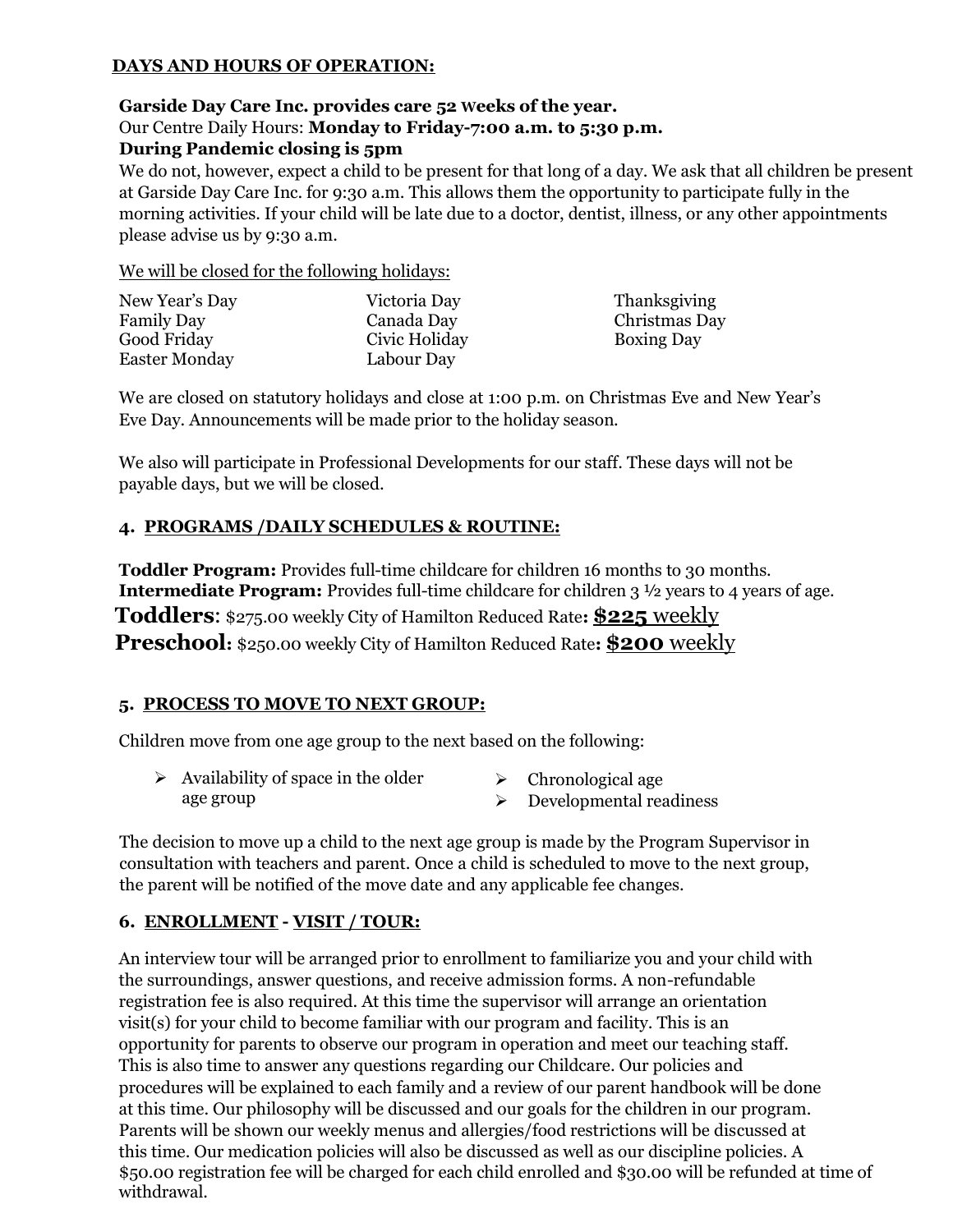# **DAYS AND HOURS OF OPERATION:**

#### **Garside Day Care Inc. provides care 52 Weeks of the year.** Our Centre Daily Hours: **Monday to Friday-7:00 a.m. to 5:30 p.m. During Pandemic closing is 5pm**

We do not, however, expect a child to be present for that long of a day. We ask that all children be present at Garside Day Care Inc. for 9:30 a.m. This allows them the opportunity to participate fully in the morning activities. If your child will be late due to a doctor, dentist, illness, or any other appointments please advise us by 9:30 a.m.

We will be closed for the following holidays:

| New Year's Day       | Victoria Day  | Thanksgiving      |
|----------------------|---------------|-------------------|
| <b>Family Day</b>    | Canada Day    | Christmas Day     |
| Good Friday          | Civic Holiday | <b>Boxing Day</b> |
| <b>Easter Monday</b> | Labour Day    |                   |

We are closed on statutory holidays and close at 1:00 p.m. on Christmas Eve and New Year's Eve Day. Announcements will be made prior to the holiday season.

We also will participate in Professional Developments for our staff. These days will not be payable days, but we will be closed.

## **4. PROGRAMS /DAILY SCHEDULES & ROUTINE:**

**Toddler Program:** Provides full-time childcare for children 16 months to 30 months. **Intermediate Program:** Provides full-time childcare for children 3  $\frac{1}{2}$  years to 4 years of age. **Toddlers**: \$275.00 weekly City of Hamilton Reduced Rate**: \$225** weekly **Preschool:** \$250.00 weekly City of Hamilton Reduced Rate**: \$200** weekly

## **5. PROCESS TO MOVE TO NEXT GROUP:**

Children move from one age group to the next based on the following:

| Availability of space in the older | Chronological age       |
|------------------------------------|-------------------------|
| age group                          | Developmental readiness |

The decision to move up a child to the next age group is made by the Program Supervisor in consultation with teachers and parent. Once a child is scheduled to move to the next group, the parent will be notified of the move date and any applicable fee changes.

# **6. ENROLLMENT - VISIT / TOUR:**

An interview tour will be arranged prior to enrollment to familiarize you and your child with the surroundings, answer questions, and receive admission forms. A non-refundable registration fee is also required. At this time the supervisor will arrange an orientation visit(s) for your child to become familiar with our program and facility. This is an opportunity for parents to observe our program in operation and meet our teaching staff. This is also time to answer any questions regarding our Childcare. Our policies and procedures will be explained to each family and a review of our parent handbook will be done at this time. Our philosophy will be discussed and our goals for the children in our program. Parents will be shown our weekly menus and allergies/food restrictions will be discussed at this time. Our medication policies will also be discussed as well as our discipline policies. A \$50.00 registration fee will be charged for each child enrolled and \$30.00 will be refunded at time of withdrawal.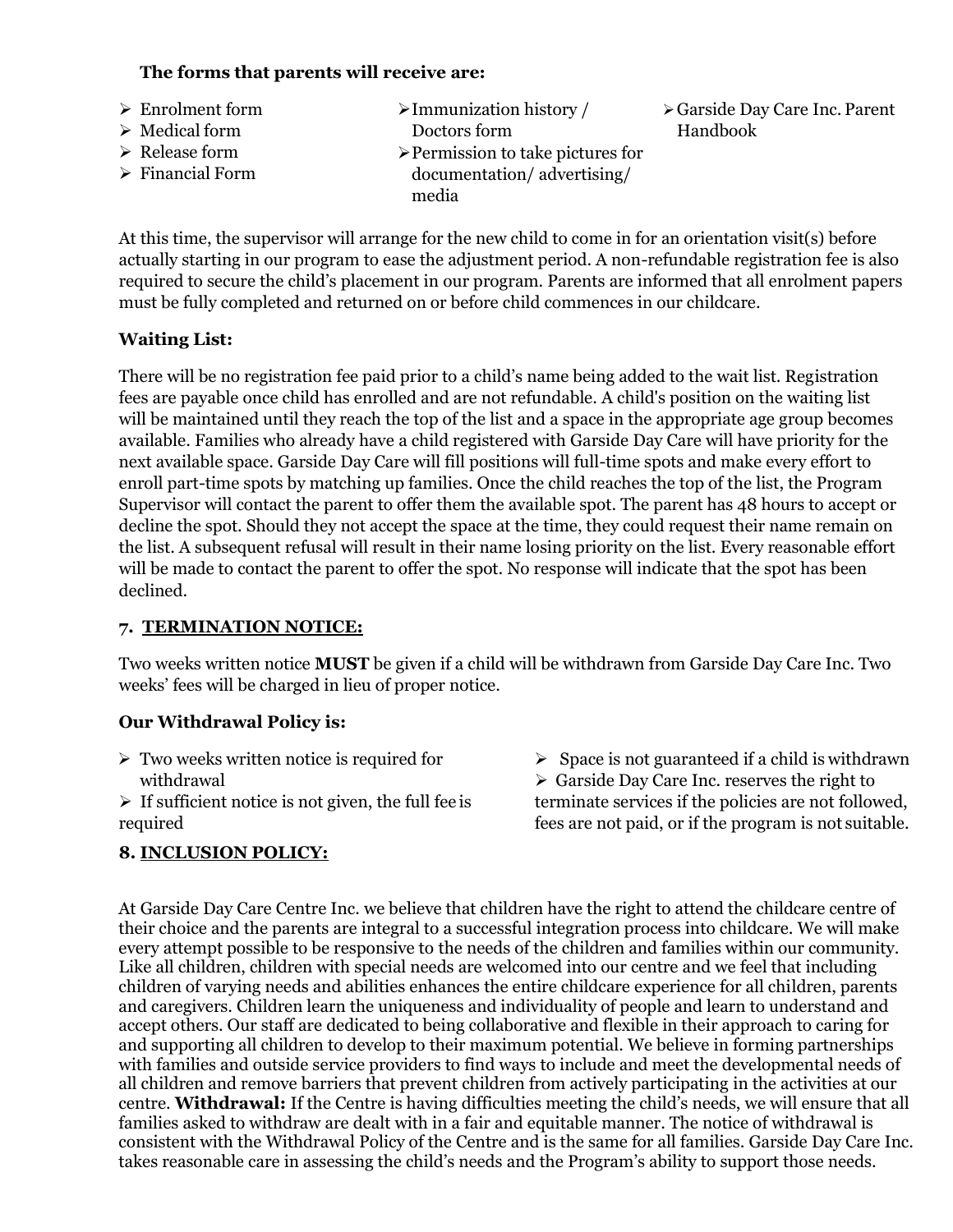# **The forms that parents will receive are:**

➢ Enrolment form ➢ Medical form ➢ Release form ➢ Financial Form ➢Immunization history / Doctors form ➢Permission to take pictures for documentation/ advertising/ media ➢Garside Day Care Inc. Parent Handbook

At this time, the supervisor will arrange for the new child to come in for an orientation visit(s) before actually starting in our program to ease the adjustment period. A non-refundable registration fee is also required to secure the child's placement in our program. Parents are informed that all enrolment papers must be fully completed and returned on or before child commences in our childcare.

#### **Waiting List:**

There will be no registration fee paid prior to a child's name being added to the wait list. Registration fees are payable once child has enrolled and are not refundable. A child's position on the waiting list will be maintained until they reach the top of the list and a space in the appropriate age group becomes available. Families who already have a child registered with Garside Day Care will have priority for the next available space. Garside Day Care will fill positions will full-time spots and make every effort to enroll part-time spots by matching up families. Once the child reaches the top of the list, the Program Supervisor will contact the parent to offer them the available spot. The parent has 48 hours to accept or decline the spot. Should they not accept the space at the time, they could request their name remain on the list. A subsequent refusal will result in their name losing priority on the list. Every reasonable effort will be made to contact the parent to offer the spot. No response will indicate that the spot has been declined.

#### **7. TERMINATION NOTICE:**

Two weeks written notice **MUST** be given if a child will be withdrawn from Garside Day Care Inc. Two weeks' fees will be charged in lieu of proper notice.

## **Our Withdrawal Policy is:**

- $\triangleright$  Two weeks written notice is required for withdrawal
- $\triangleright$  If sufficient notice is not given, the full fee is required

## **8. INCLUSION POLICY:**

 $\triangleright$  Space is not guaranteed if a child is withdrawn ➢ Garside Day Care Inc. reserves the right to terminate services if the policies are not followed, fees are not paid, or if the program is not suitable.

At Garside Day Care Centre Inc. we believe that children have the right to attend the childcare centre of their choice and the parents are integral to a successful integration process into childcare. We will make every attempt possible to be responsive to the needs of the children and families within our community. Like all children, children with special needs are welcomed into our centre and we feel that including children of varying needs and abilities enhances the entire childcare experience for all children, parents and caregivers. Children learn the uniqueness and individuality of people and learn to understand and accept others. Our staff are dedicated to being collaborative and flexible in their approach to caring for and supporting all children to develop to their maximum potential. We believe in forming partnerships with families and outside service providers to find ways to include and meet the developmental needs of all children and remove barriers that prevent children from actively participating in the activities at our centre. **Withdrawal:** If the Centre is having difficulties meeting the child's needs, we will ensure that all families asked to withdraw are dealt with in a fair and equitable manner. The notice of withdrawal is consistent with the Withdrawal Policy of the Centre and is the same for all families. Garside Day Care Inc. takes reasonable care in assessing the child's needs and the Program's ability to support those needs.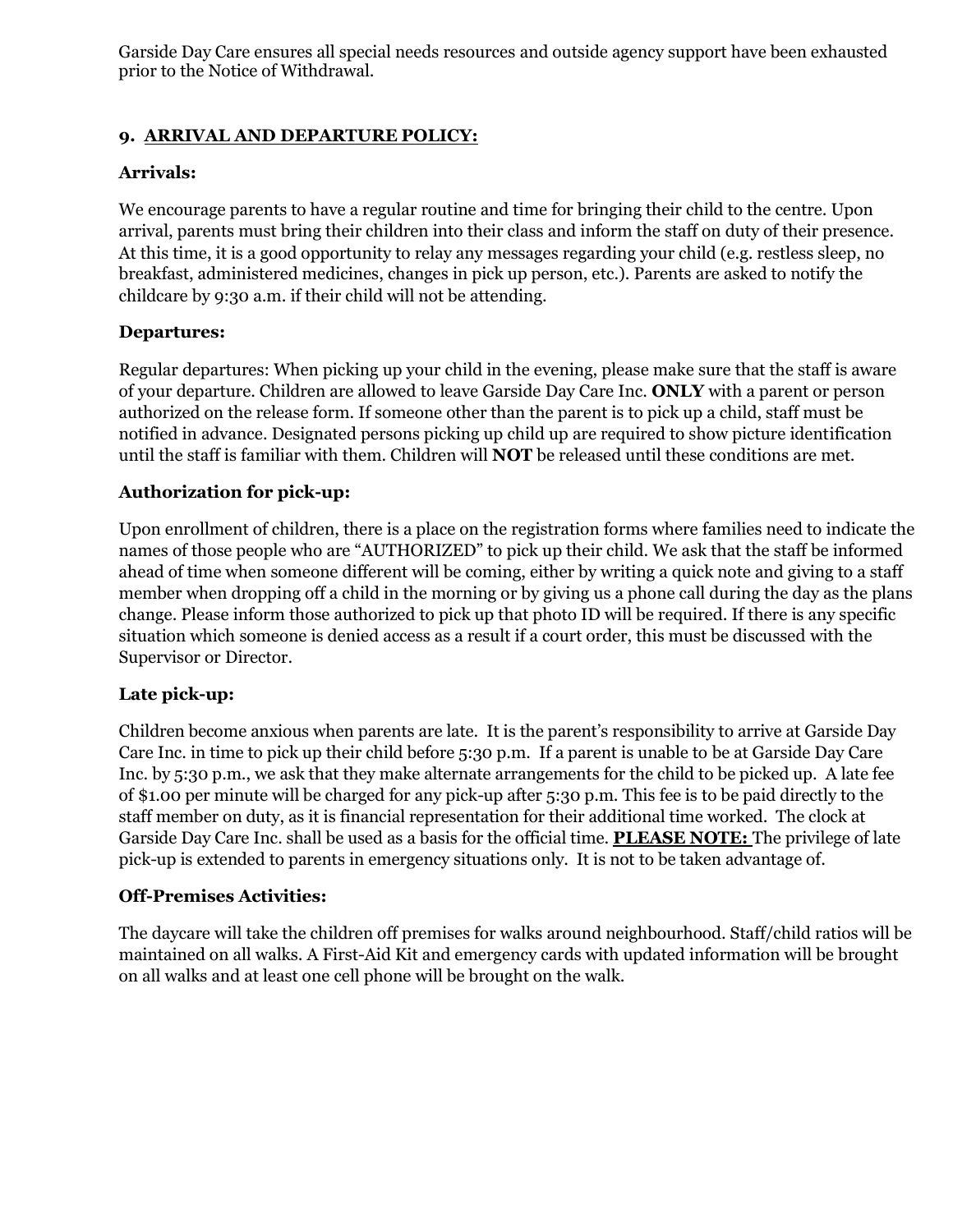Garside Day Care ensures all special needs resources and outside agency support have been exhausted prior to the Notice of Withdrawal.

# **9. ARRIVAL AND DEPARTURE POLICY:**

#### **Arrivals:**

We encourage parents to have a regular routine and time for bringing their child to the centre. Upon arrival, parents must bring their children into their class and inform the staff on duty of their presence. At this time, it is a good opportunity to relay any messages regarding your child (e.g. restless sleep, no breakfast, administered medicines, changes in pick up person, etc.). Parents are asked to notify the childcare by 9:30 a.m. if their child will not be attending.

#### **Departures:**

Regular departures: When picking up your child in the evening, please make sure that the staff is aware of your departure. Children are allowed to leave Garside Day Care Inc. **ONLY** with a parent or person authorized on the release form. If someone other than the parent is to pick up a child, staff must be notified in advance. Designated persons picking up child up are required to show picture identification until the staff is familiar with them. Children will **NOT** be released until these conditions are met.

## **Authorization for pick-up:**

Upon enrollment of children, there is a place on the registration forms where families need to indicate the names of those people who are "AUTHORIZED" to pick up their child. We ask that the staff be informed ahead of time when someone different will be coming, either by writing a quick note and giving to a staff member when dropping off a child in the morning or by giving us a phone call during the day as the plans change. Please inform those authorized to pick up that photo ID will be required. If there is any specific situation which someone is denied access as a result if a court order, this must be discussed with the Supervisor or Director.

#### **Late pick-up:**

Children become anxious when parents are late. It is the parent's responsibility to arrive at Garside Day Care Inc. in time to pick up their child before 5:30 p.m. If a parent is unable to be at Garside Day Care Inc. by 5:30 p.m., we ask that they make alternate arrangements for the child to be picked up. A late fee of \$1.00 per minute will be charged for any pick-up after 5:30 p.m. This fee is to be paid directly to the staff member on duty, as it is financial representation for their additional time worked. The clock at Garside Day Care Inc. shall be used as a basis for the official time. **PLEASE NOTE:** The privilege of late pick-up is extended to parents in emergency situations only. It is not to be taken advantage of.

#### **Off-Premises Activities:**

The daycare will take the children off premises for walks around neighbourhood. Staff/child ratios will be maintained on all walks. A First-Aid Kit and emergency cards with updated information will be brought on all walks and at least one cell phone will be brought on the walk.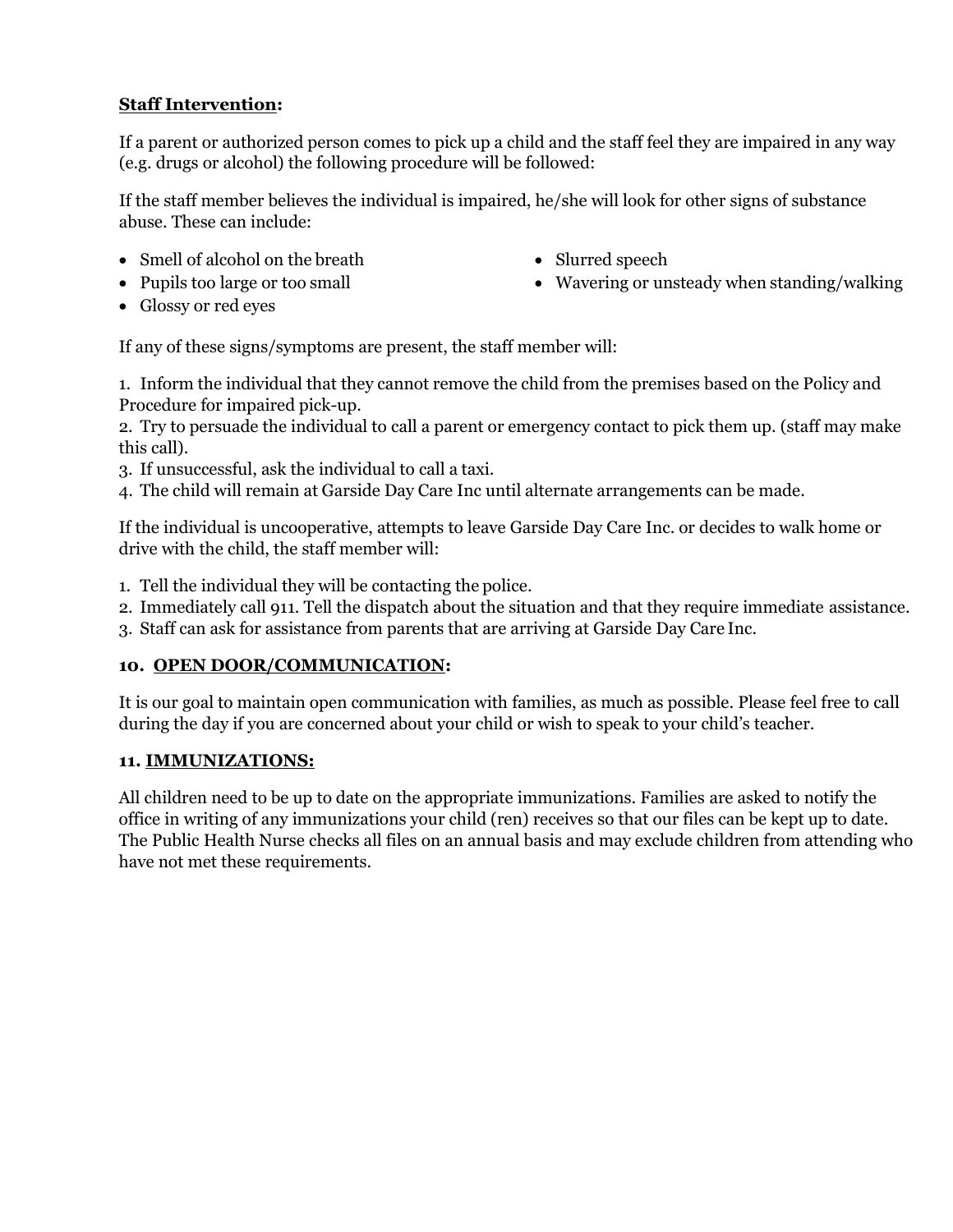# **Staff Intervention:**

If a parent or authorized person comes to pick up a child and the staff feel they are impaired in any way (e.g. drugs or alcohol) the following procedure will be followed:

If the staff member believes the individual is impaired, he/she will look for other signs of substance abuse. These can include:

- Smell of alcohol on the breath
- Pupils too large or too small
- Slurred speech
- Wavering or unsteady when standing/walking

• Glossy or red eyes

If any of these signs/symptoms are present, the staff member will:

1. Inform the individual that they cannot remove the child from the premises based on the Policy and Procedure for impaired pick-up.

2. Try to persuade the individual to call a parent or emergency contact to pick them up. (staff may make this call).

- 3. If unsuccessful, ask the individual to call a taxi.
- 4. The child will remain at Garside Day Care Inc until alternate arrangements can be made.

If the individual is uncooperative, attempts to leave Garside Day Care Inc. or decides to walk home or drive with the child, the staff member will:

- 1. Tell the individual they will be contacting the police.
- 2. Immediately call 911. Tell the dispatch about the situation and that they require immediate assistance.
- 3. Staff can ask for assistance from parents that are arriving at Garside Day Care Inc.

## **10. OPEN DOOR/COMMUNICATION:**

It is our goal to maintain open communication with families, as much as possible. Please feel free to call during the day if you are concerned about your child or wish to speak to your child's teacher.

# **11. IMMUNIZATIONS:**

All children need to be up to date on the appropriate immunizations. Families are asked to notify the office in writing of any immunizations your child (ren) receives so that our files can be kept up to date. The Public Health Nurse checks all files on an annual basis and may exclude children from attending who have not met these requirements.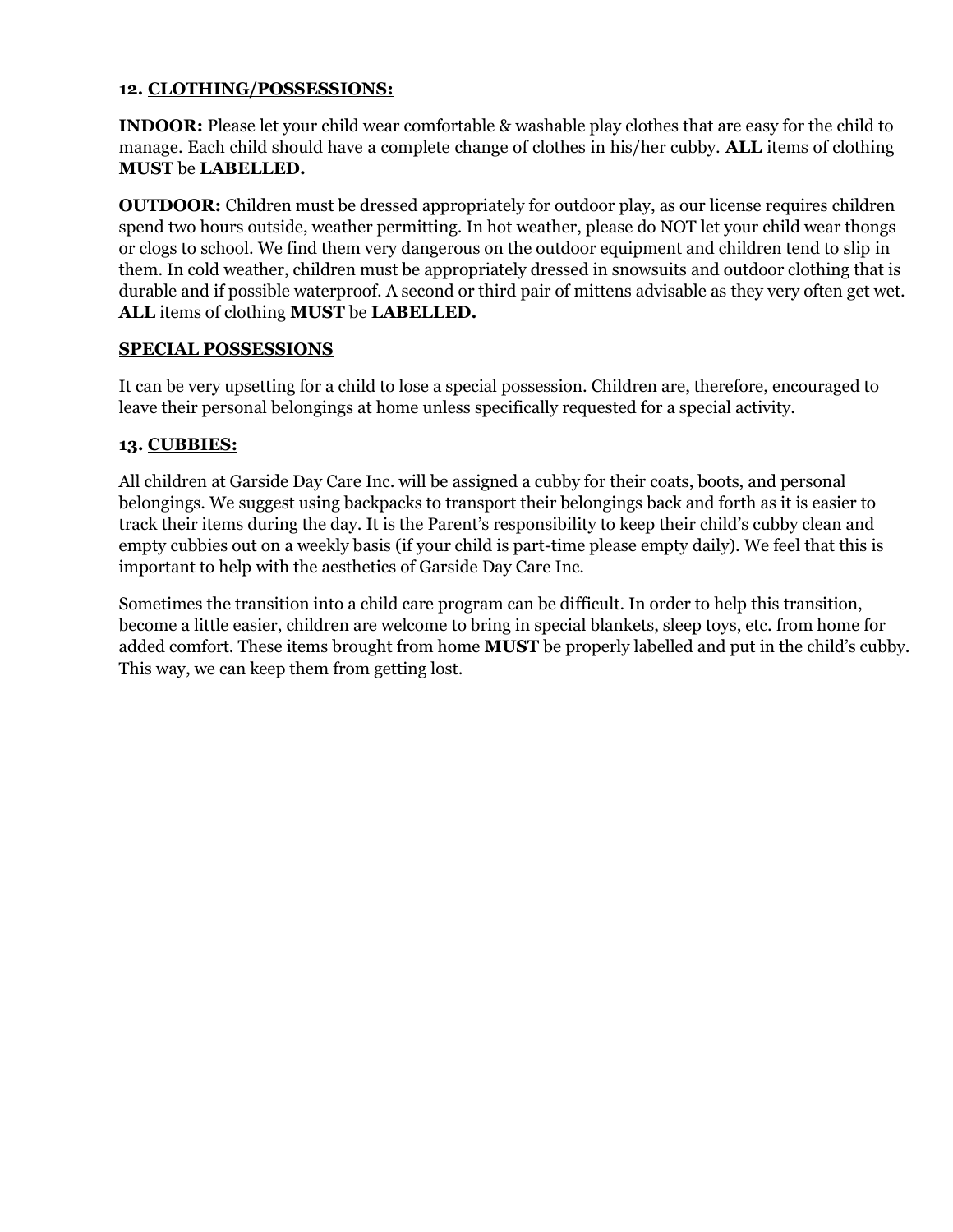#### **12. CLOTHING/POSSESSIONS:**

**INDOOR:** Please let your child wear comfortable & washable play clothes that are easy for the child to manage. Each child should have a complete change of clothes in his/her cubby. **ALL** items of clothing **MUST** be **LABELLED.**

**OUTDOOR:** Children must be dressed appropriately for outdoor play, as our license requires children spend two hours outside, weather permitting. In hot weather, please do NOT let your child wear thongs or clogs to school. We find them very dangerous on the outdoor equipment and children tend to slip in them. In cold weather, children must be appropriately dressed in snowsuits and outdoor clothing that is durable and if possible waterproof. A second or third pair of mittens advisable as they very often get wet. **ALL** items of clothing **MUST** be **LABELLED.**

#### **SPECIAL POSSESSIONS**

It can be very upsetting for a child to lose a special possession. Children are, therefore, encouraged to leave their personal belongings at home unless specifically requested for a special activity.

#### **13. CUBBIES:**

All children at Garside Day Care Inc. will be assigned a cubby for their coats, boots, and personal belongings. We suggest using backpacks to transport their belongings back and forth as it is easier to track their items during the day. It is the Parent's responsibility to keep their child's cubby clean and empty cubbies out on a weekly basis (if your child is part-time please empty daily). We feel that this is important to help with the aesthetics of Garside Day Care Inc.

Sometimes the transition into a child care program can be difficult. In order to help this transition, become a little easier, children are welcome to bring in special blankets, sleep toys, etc. from home for added comfort. These items brought from home **MUST** be properly labelled and put in the child's cubby. This way, we can keep them from getting lost.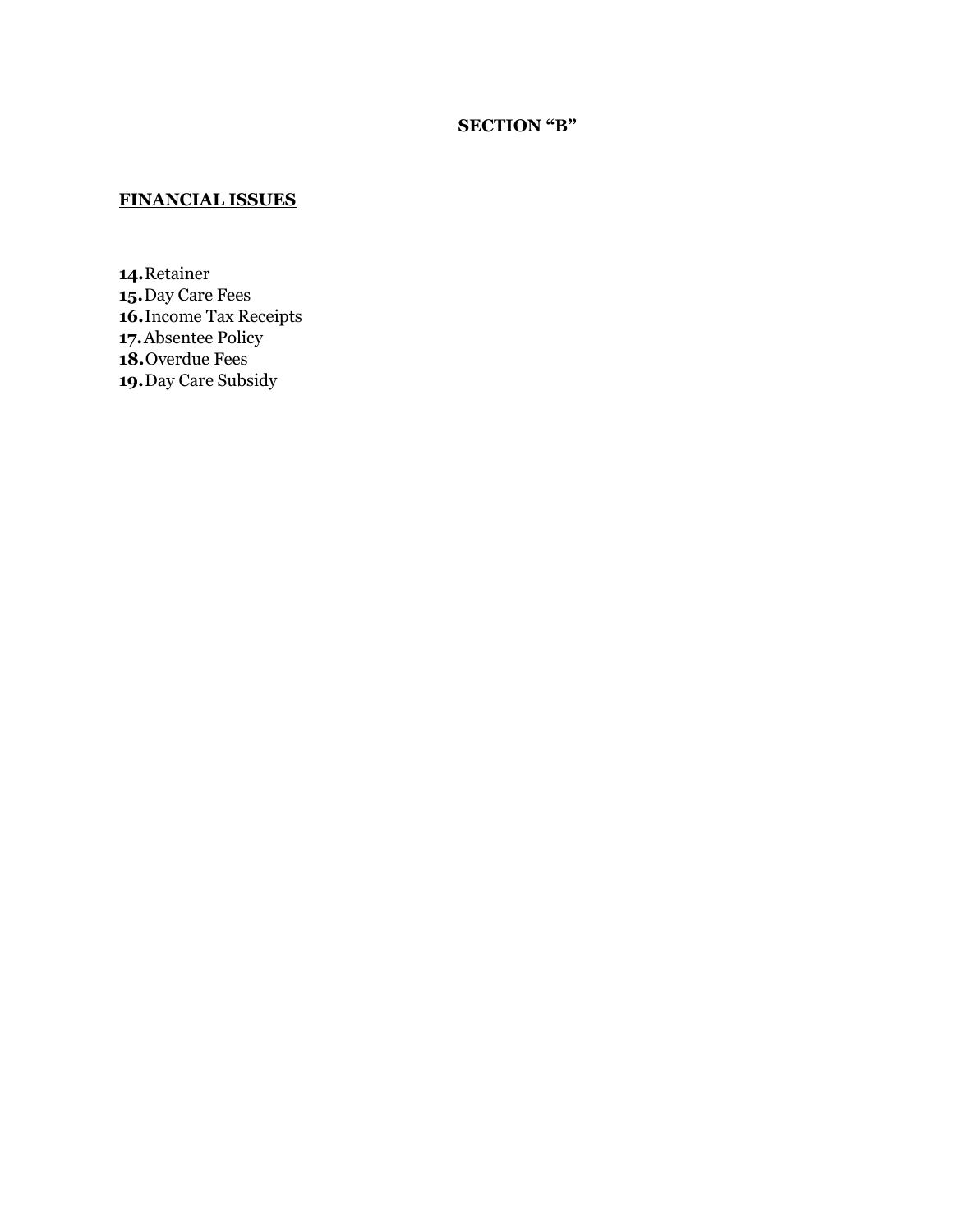## **SECTION "B"**

# **FINANCIAL ISSUES**

**14.**Retainer **15.**Day Care Fees **16.**Income Tax Receipts **17.**Absentee Policy **18.**Overdue Fees **19.**Day Care Subsidy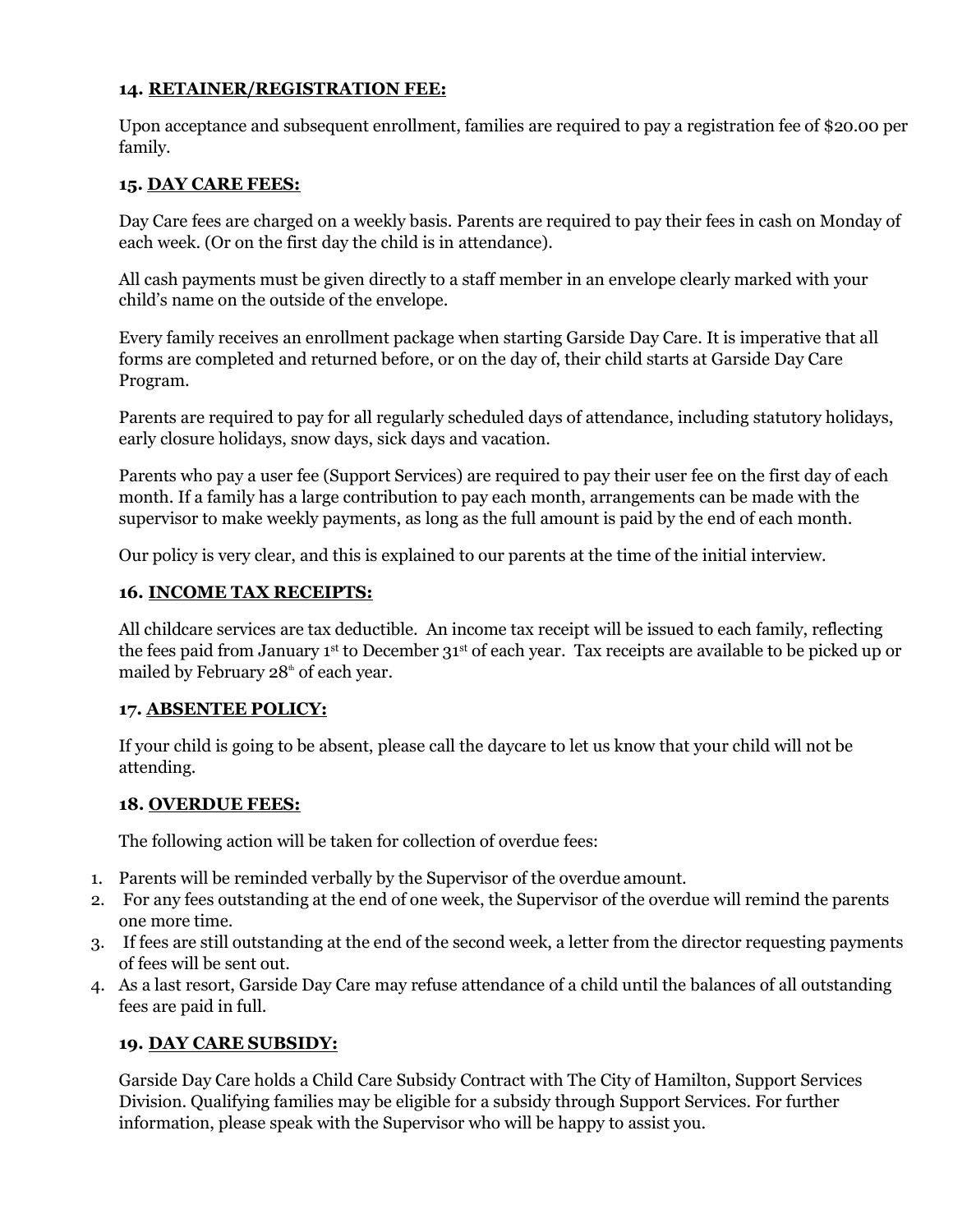#### **14. RETAINER/REGISTRATION FEE:**

Upon acceptance and subsequent enrollment, families are required to pay a registration fee of \$20.00 per family.

#### **15. DAY CARE FEES:**

Day Care fees are charged on a weekly basis. Parents are required to pay their fees in cash on Monday of each week. (Or on the first day the child is in attendance).

All cash payments must be given directly to a staff member in an envelope clearly marked with your child's name on the outside of the envelope.

Every family receives an enrollment package when starting Garside Day Care. It is imperative that all forms are completed and returned before, or on the day of, their child starts at Garside Day Care Program.

Parents are required to pay for all regularly scheduled days of attendance, including statutory holidays, early closure holidays, snow days, sick days and vacation.

Parents who pay a user fee (Support Services) are required to pay their user fee on the first day of each month. If a family has a large contribution to pay each month, arrangements can be made with the supervisor to make weekly payments, as long as the full amount is paid by the end of each month.

Our policy is very clear, and this is explained to our parents at the time of the initial interview.

#### **16. INCOME TAX RECEIPTS:**

All childcare services are tax deductible. An income tax receipt will be issued to each family, reflecting the fees paid from January 1<sup>st</sup> to December 31<sup>st</sup> of each year. Tax receipts are available to be picked up or mailed by February 28<sup>th</sup> of each year.

#### **17. ABSENTEE POLICY:**

If your child is going to be absent, please call the daycare to let us know that your child will not be attending.

#### **18. OVERDUE FEES:**

The following action will be taken for collection of overdue fees:

- 1. Parents will be reminded verbally by the Supervisor of the overdue amount.
- 2. For any fees outstanding at the end of one week, the Supervisor of the overdue will remind the parents one more time.
- 3. If fees are still outstanding at the end of the second week, a letter from the director requesting payments of fees will be sent out.
- 4. As a last resort, Garside Day Care may refuse attendance of a child until the balances of all outstanding fees are paid in full.

## **19. DAY CARE SUBSIDY:**

Garside Day Care holds a Child Care Subsidy Contract with The City of Hamilton, Support Services Division. Qualifying families may be eligible for a subsidy through Support Services. For further information, please speak with the Supervisor who will be happy to assist you.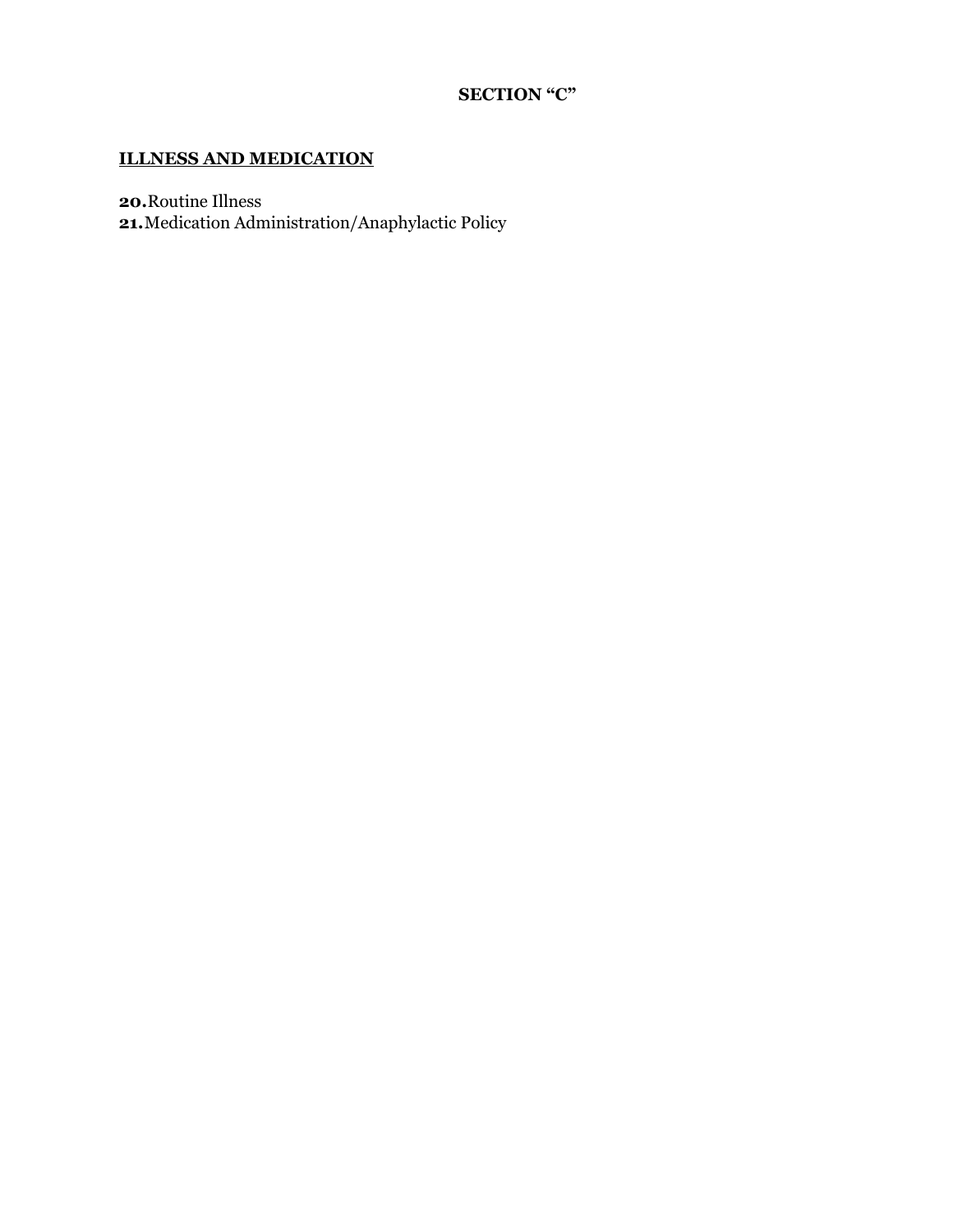# **SECTION "C"**

# **ILLNESS AND MEDICATION**

**20.**Routine Illness

**21.**Medication Administration/Anaphylactic Policy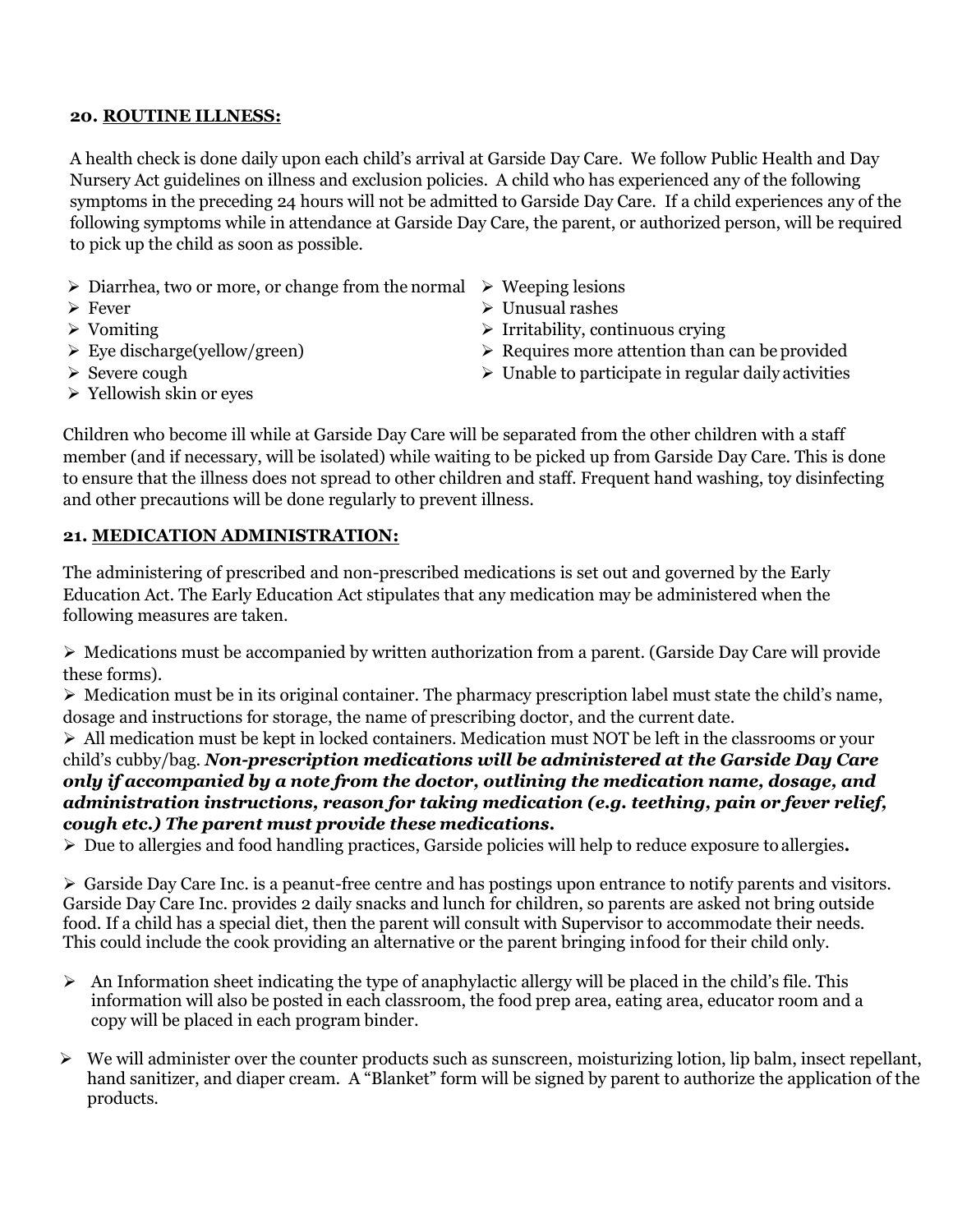#### **20. ROUTINE ILLNESS:**

A health check is done daily upon each child's arrival at Garside Day Care. We follow Public Health and Day Nursery Act guidelines on illness and exclusion policies. A child who has experienced any of the following symptoms in the preceding 24 hours will not be admitted to Garside Day Care. If a child experiences any of the following symptoms while in attendance at Garside Day Care, the parent, or authorized person, will be required to pick up the child as soon as possible.

- $\triangleright$  Diarrhea, two or more, or change from the normal  $\triangleright$  Weeping lesions
- ➢ Fever
- ➢ Vomiting
- $\triangleright$  Eye discharge(yellow/green)
- ➢ Severe cough
- ➢ Yellowish skin or eyes
- 
- ➢ Unusual rashes
- $\triangleright$  Irritability, continuous crying
- ➢ Requires more attention than can be provided
- $\triangleright$  Unable to participate in regular daily activities

Children who become ill while at Garside Day Care will be separated from the other children with a staff member (and if necessary, will be isolated) while waiting to be picked up from Garside Day Care. This is done to ensure that the illness does not spread to other children and staff. Frequent hand washing, toy disinfecting and other precautions will be done regularly to prevent illness.

## **21. MEDICATION ADMINISTRATION:**

The administering of prescribed and non-prescribed medications is set out and governed by the Early Education Act. The Early Education Act stipulates that any medication may be administered when the following measures are taken.

 $\triangleright$  Medications must be accompanied by written authorization from a parent. (Garside Day Care will provide these forms).

➢ Medication must be in its original container. The pharmacy prescription label must state the child's name, dosage and instructions for storage, the name of prescribing doctor, and the current date.

➢ All medication must be kept in locked containers. Medication must NOT be left in the classrooms or your child's cubby/bag. *Non-prescription medications will be administered at the Garside Day Care only if accompanied by a note from the doctor, outlining the medication name, dosage, and administration instructions, reason for taking medication (e.g. teething, pain or fever relief, cough etc.) The parent must provide these medications.*

➢ Due to allergies and food handling practices, Garside policies will help to reduce exposure to allergies**.**

 $\triangleright$  Garside Day Care Inc. is a peanut-free centre and has postings upon entrance to notify parents and visitors. Garside Day Care Inc. provides 2 daily snacks and lunch for children, so parents are asked not bring outside food. If a child has a special diet, then the parent will consult with Supervisor to accommodate their needs. This could include the cook providing an alternative or the parent bringing infood for their child only.

- $\triangleright$  An Information sheet indicating the type of anaphylactic allergy will be placed in the child's file. This information will also be posted in each classroom, the food prep area, eating area, educator room and a copy will be placed in each program binder.
- ➢ We will administer over the counter products such as sunscreen, moisturizing lotion, lip balm, insect repellant, hand sanitizer, and diaper cream. A "Blanket" form will be signed by parent to authorize the application of the products.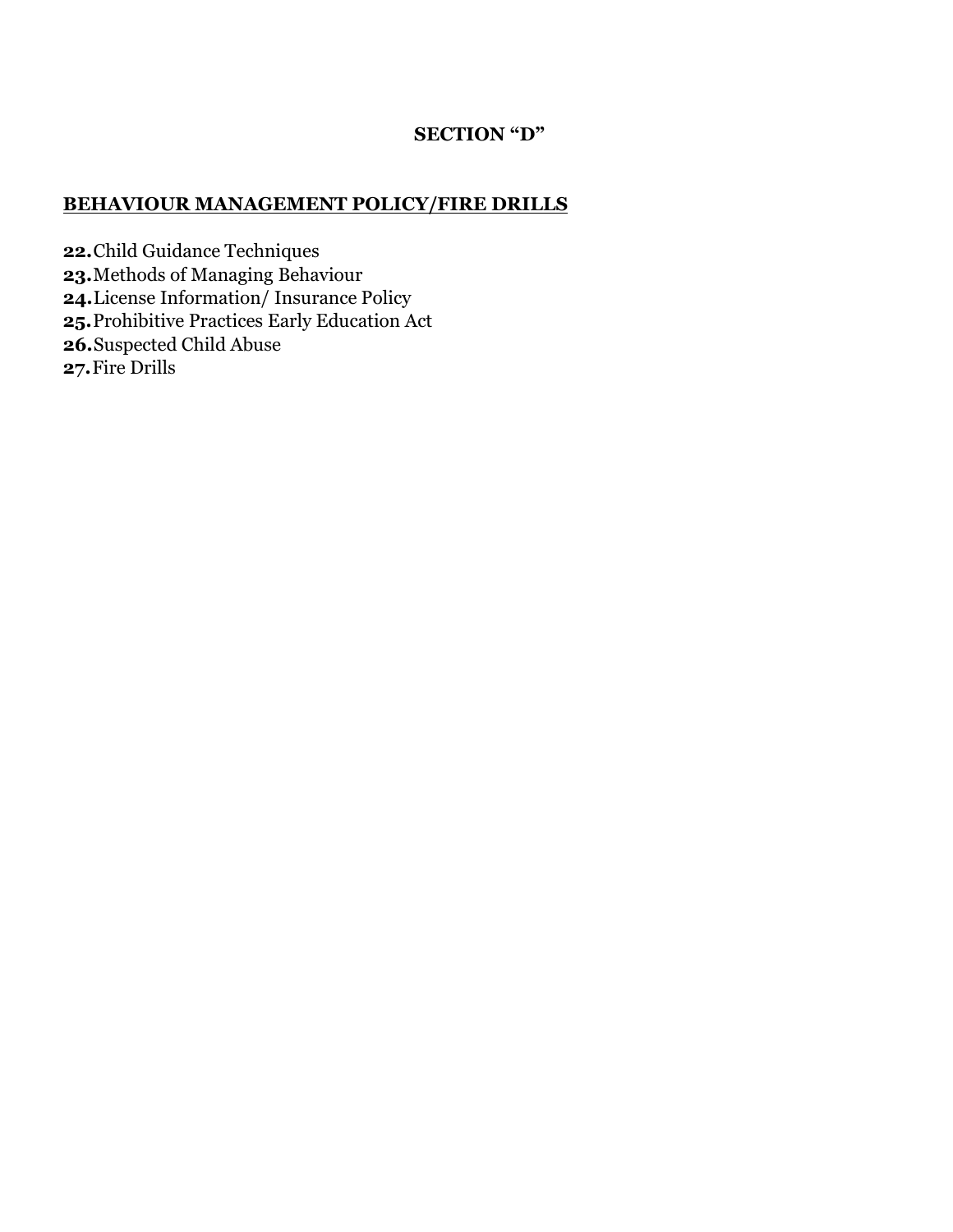# **SECTION "D"**

# **BEHAVIOUR MANAGEMENT POLICY/FIRE DRILLS**

**22.**Child Guidance Techniques

- **23.**Methods of Managing Behaviour
- **24.**License Information/ Insurance Policy
- **25.**Prohibitive Practices Early Education Act
- **26.**Suspected Child Abuse
- **27.**Fire Drills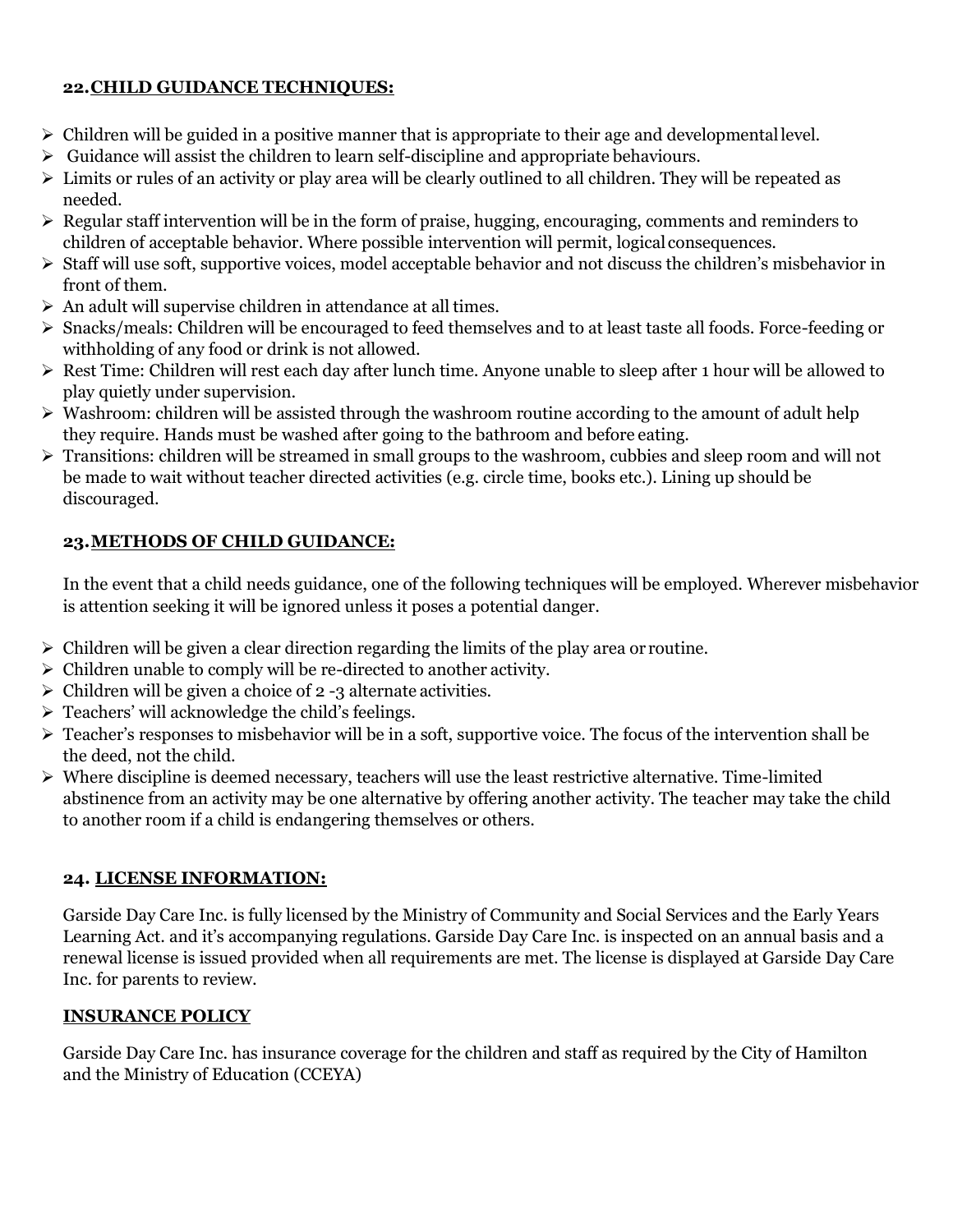# **22.CHILD GUIDANCE TECHNIQUES:**

- ➢ Children will be guided in a positive manner that is appropriate to their age and developmentallevel.
- $\triangleright$  Guidance will assist the children to learn self-discipline and appropriate behaviours.
- ➢ Limits or rules of an activity or play area will be clearly outlined to all children. They will be repeated as needed.
- ➢ Regular staff intervention will be in the form of praise, hugging, encouraging, comments and reminders to children of acceptable behavior. Where possible intervention will permit, logical consequences.
- ➢ Staff will use soft, supportive voices, model acceptable behavior and not discuss the children's misbehavior in front of them.
- ➢ An adult will supervise children in attendance at all times.
- ➢ Snacks/meals: Children will be encouraged to feed themselves and to at least taste all foods. Force-feeding or withholding of any food or drink is not allowed.
- ➢ Rest Time: Children will rest each day after lunch time. Anyone unable to sleep after 1 hour will be allowed to play quietly under supervision.
- ➢ Washroom: children will be assisted through the washroom routine according to the amount of adult help they require. Hands must be washed after going to the bathroom and before eating.
- ➢ Transitions: children will be streamed in small groups to the washroom, cubbies and sleep room and will not be made to wait without teacher directed activities (e.g. circle time, books etc.). Lining up should be discouraged.

# **23.METHODS OF CHILD GUIDANCE:**

In the event that a child needs guidance, one of the following techniques will be employed. Wherever misbehavior is attention seeking it will be ignored unless it poses a potential danger.

- $\triangleright$  Children will be given a clear direction regarding the limits of the play area or routine.
- ➢ Children unable to comply will be re-directed to another activity.
- $\triangleright$  Children will be given a choice of 2 -3 alternate activities.
- ➢ Teachers' will acknowledge the child's feelings.
- ➢ Teacher's responses to misbehavior will be in a soft, supportive voice. The focus of the intervention shall be the deed, not the child.
- ➢ Where discipline is deemed necessary, teachers will use the least restrictive alternative. Time-limited abstinence from an activity may be one alternative by offering another activity. The teacher may take the child to another room if a child is endangering themselves or others.

# **24. LICENSE INFORMATION:**

Garside Day Care Inc. is fully licensed by the Ministry of Community and Social Services and the Early Years Learning Act. and it's accompanying regulations. Garside Day Care Inc. is inspected on an annual basis and a renewal license is issued provided when all requirements are met. The license is displayed at Garside Day Care Inc. for parents to review.

# **INSURANCE POLICY**

Garside Day Care Inc. has insurance coverage for the children and staff as required by the City of Hamilton and the Ministry of Education (CCEYA)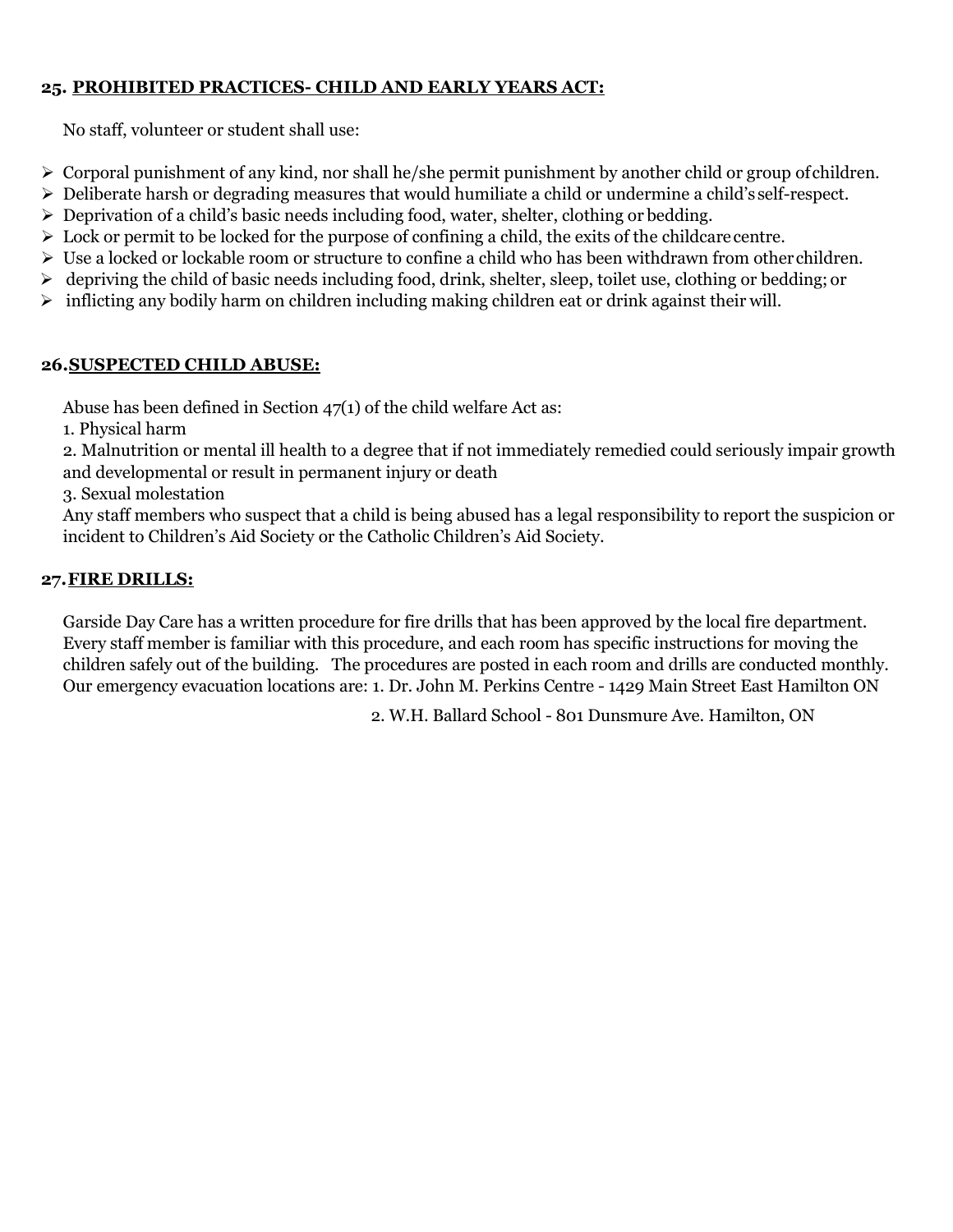# **25. PROHIBITED PRACTICES- CHILD AND EARLY YEARS ACT:**

No staff, volunteer or student shall use:

- ➢ Corporal punishment of any kind, nor shall he/she permit punishment by another child or group ofchildren.
- ➢ Deliberate harsh or degrading measures that would humiliate a child or undermine a child's self-respect.
- ➢ Deprivation of a child's basic needs including food, water, shelter, clothing or bedding.
- $\triangleright$  Lock or permit to be locked for the purpose of confining a child, the exits of the childcare centre.
- ➢ Use a locked or lockable room or structure to confine a child who has been withdrawn from otherchildren.
- ➢ depriving the child of basic needs including food, drink, shelter, sleep, toilet use, clothing or bedding; or
- $\triangleright$  inflicting any bodily harm on children including making children eat or drink against their will.

## **26.SUSPECTED CHILD ABUSE:**

Abuse has been defined in Section 47(1) of the child welfare Act as:

1. Physical harm

2. Malnutrition or mental ill health to a degree that if not immediately remedied could seriously impair growth and developmental or result in permanent injury or death

3. Sexual molestation

Any staff members who suspect that a child is being abused has a legal responsibility to report the suspicion or incident to Children's Aid Society or the Catholic Children's Aid Society.

# **27.FIRE DRILLS:**

Garside Day Care has a written procedure for fire drills that has been approved by the local fire department. Every staff member is familiar with this procedure, and each room has specific instructions for moving the children safely out of the building. The procedures are posted in each room and drills are conducted monthly. Our emergency evacuation locations are: 1. Dr. John M. Perkins Centre - 1429 Main Street East Hamilton ON

2. W.H. Ballard School - 801 Dunsmure Ave. Hamilton, ON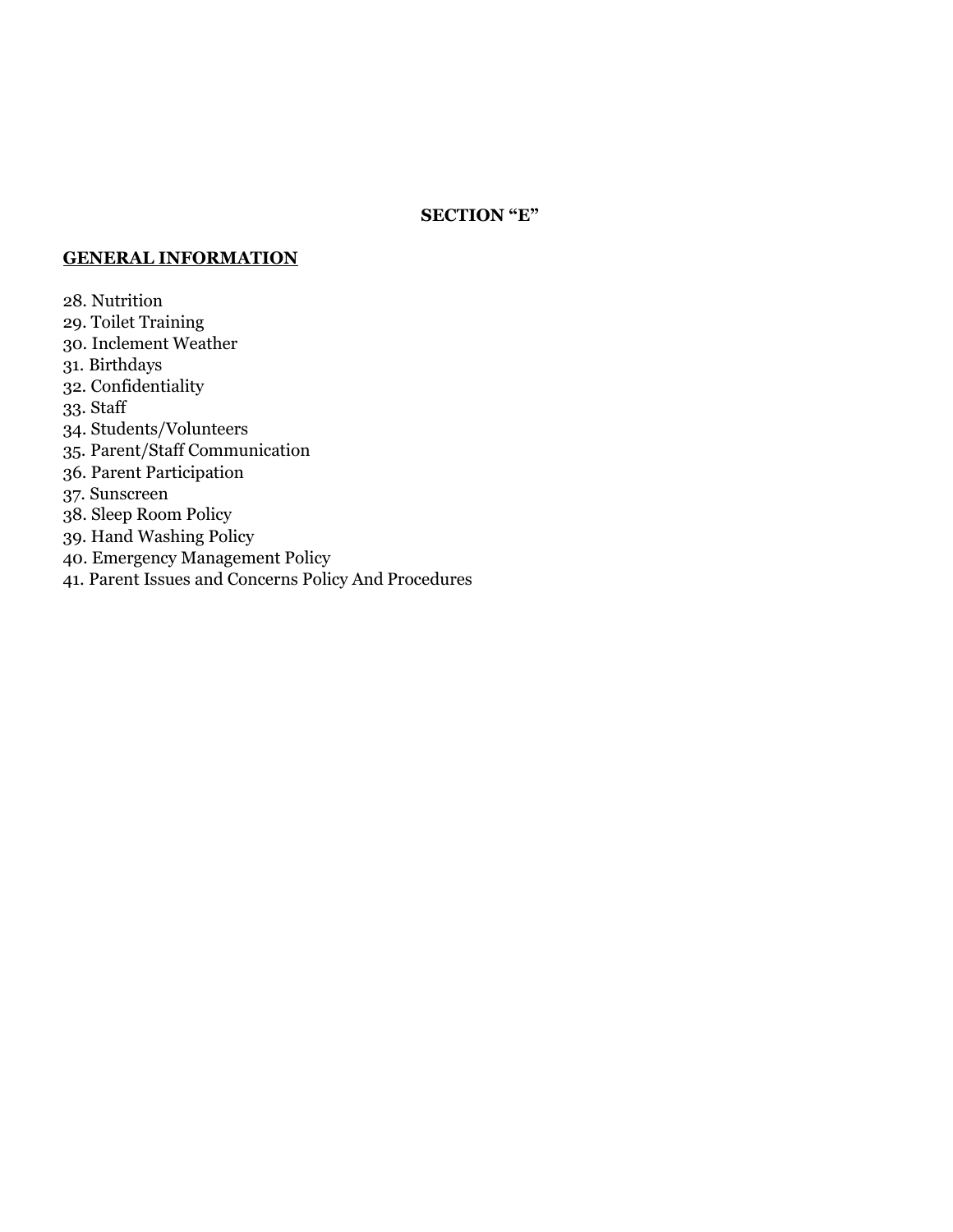#### **SECTION "E"**

#### **GENERAL INFORMATION**

28. Nutrition

- 29. Toilet Training
- 30. Inclement Weather
- 31. Birthdays
- 32. Confidentiality
- 33. Staff
- 34. Students/Volunteers
- 35. Parent/Staff Communication
- 36. Parent Participation

37. Sunscreen

- 38. Sleep Room Policy
- 39. Hand Washing Policy
- 40. Emergency Management Policy
- 41. Parent Issues and Concerns Policy And Procedures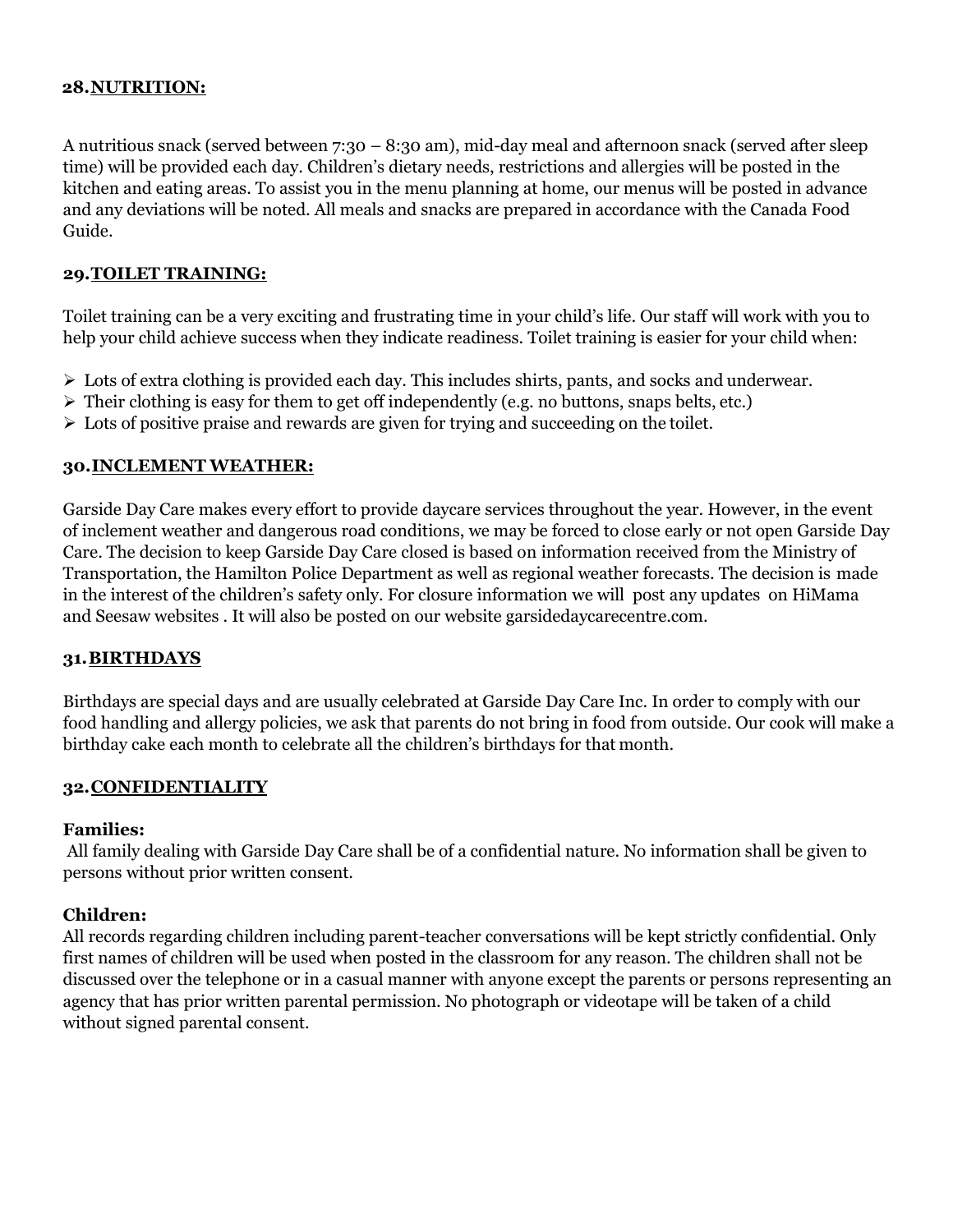#### **28.NUTRITION:**

A nutritious snack (served between 7:30 – 8:30 am), mid-day meal and afternoon snack (served after sleep time) will be provided each day. Children's dietary needs, restrictions and allergies will be posted in the kitchen and eating areas. To assist you in the menu planning at home, our menus will be posted in advance and any deviations will be noted. All meals and snacks are prepared in accordance with the Canada Food Guide.

#### **29.TOILET TRAINING:**

Toilet training can be a very exciting and frustrating time in your child's life. Our staff will work with you to help your child achieve success when they indicate readiness. Toilet training is easier for your child when:

- ➢ Lots of extra clothing is provided each day. This includes shirts, pants, and socks and underwear.
- $\triangleright$  Their clothing is easy for them to get off independently (e.g. no buttons, snaps belts, etc.)
- $\triangleright$  Lots of positive praise and rewards are given for trying and succeeding on the toilet.

#### **30.INCLEMENT WEATHER:**

Garside Day Care makes every effort to provide daycare services throughout the year. However, in the event of inclement weather and dangerous road conditions, we may be forced to close early or not open Garside Day Care. The decision to keep Garside Day Care closed is based on information received from the Ministry of Transportation, the Hamilton Police Department as well as regional weather forecasts. The decision is made in the interest of the children's safety only. For closure information we will post any updates on HiMama and Seesaw websites . It will also be posted on our website garsidedaycarecentre.com.

#### **31.BIRTHDAYS**

Birthdays are special days and are usually celebrated at Garside Day Care Inc. In order to comply with our food handling and allergy policies, we ask that parents do not bring in food from outside. Our cook will make a birthday cake each month to celebrate all the children's birthdays for that month.

#### **32.CONFIDENTIALITY**

#### **Families:**

All family dealing with Garside Day Care shall be of a confidential nature. No information shall be given to persons without prior written consent.

#### **Children:**

All records regarding children including parent-teacher conversations will be kept strictly confidential. Only first names of children will be used when posted in the classroom for any reason. The children shall not be discussed over the telephone or in a casual manner with anyone except the parents or persons representing an agency that has prior written parental permission. No photograph or videotape will be taken of a child without signed parental consent.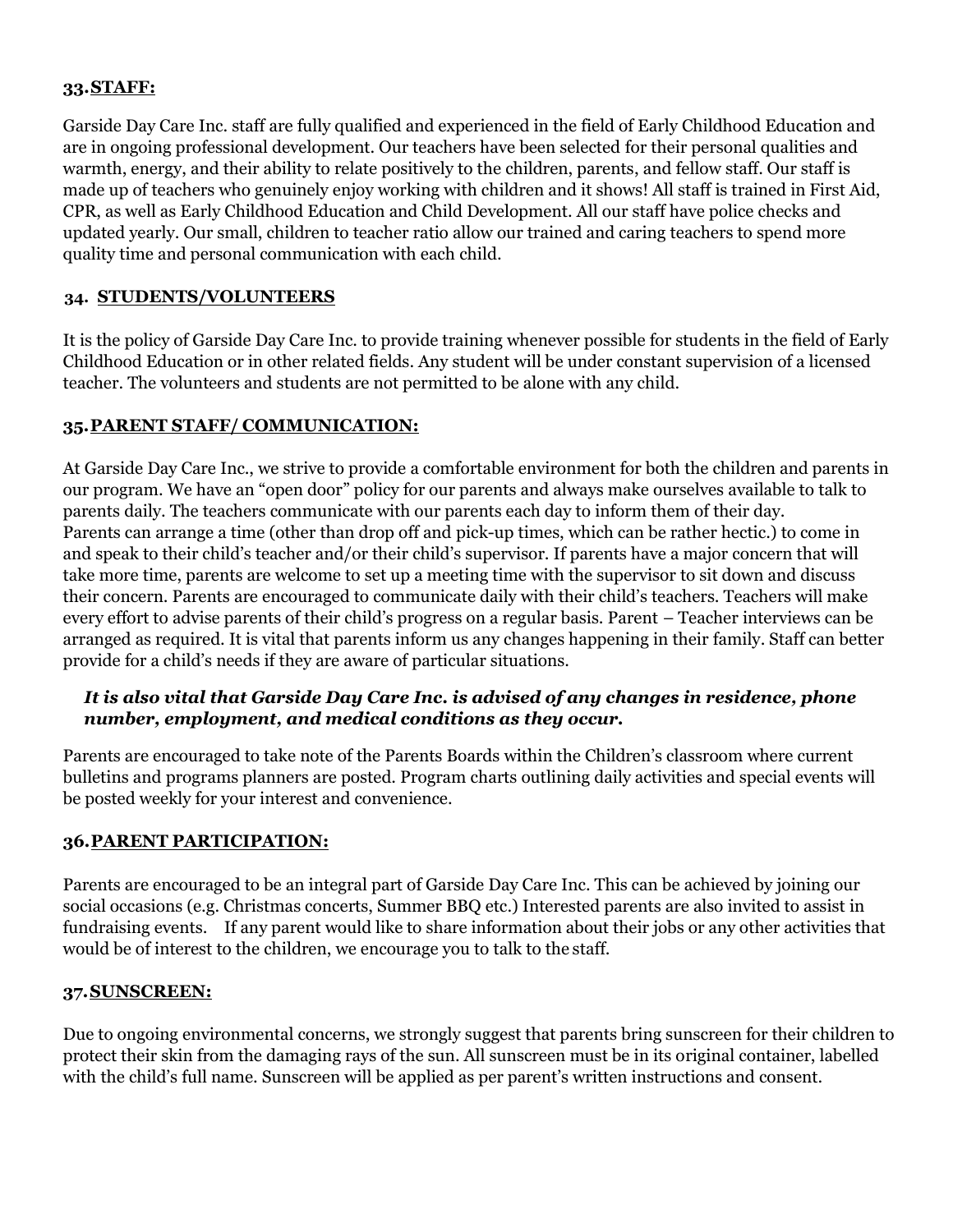#### **33.STAFF:**

Garside Day Care Inc. staff are fully qualified and experienced in the field of Early Childhood Education and are in ongoing professional development. Our teachers have been selected for their personal qualities and warmth, energy, and their ability to relate positively to the children, parents, and fellow staff. Our staff is made up of teachers who genuinely enjoy working with children and it shows! All staff is trained in First Aid, CPR, as well as Early Childhood Education and Child Development. All our staff have police checks and updated yearly. Our small, children to teacher ratio allow our trained and caring teachers to spend more quality time and personal communication with each child.

#### **34. STUDENTS/VOLUNTEERS**

It is the policy of Garside Day Care Inc. to provide training whenever possible for students in the field of Early Childhood Education or in other related fields. Any student will be under constant supervision of a licensed teacher. The volunteers and students are not permitted to be alone with any child.

#### **35.PARENT STAFF/ COMMUNICATION:**

At Garside Day Care Inc., we strive to provide a comfortable environment for both the children and parents in our program. We have an "open door" policy for our parents and always make ourselves available to talk to parents daily. The teachers communicate with our parents each day to inform them of their day. Parents can arrange a time (other than drop off and pick-up times, which can be rather hectic.) to come in and speak to their child's teacher and/or their child's supervisor. If parents have a major concern that will take more time, parents are welcome to set up a meeting time with the supervisor to sit down and discuss their concern. Parents are encouraged to communicate daily with their child's teachers. Teachers will make every effort to advise parents of their child's progress on a regular basis. Parent – Teacher interviews can be arranged as required. It is vital that parents inform us any changes happening in their family. Staff can better provide for a child's needs if they are aware of particular situations.

## *It is also vital that Garside Day Care Inc. is advised of any changes in residence, phone number, employment, and medical conditions as they occur.*

Parents are encouraged to take note of the Parents Boards within the Children's classroom where current bulletins and programs planners are posted. Program charts outlining daily activities and special events will be posted weekly for your interest and convenience.

#### **36.PARENT PARTICIPATION:**

Parents are encouraged to be an integral part of Garside Day Care Inc. This can be achieved by joining our social occasions (e.g. Christmas concerts, Summer BBQ etc.) Interested parents are also invited to assist in fundraising events. If any parent would like to share information about their jobs or any other activities that would be of interest to the children, we encourage you to talk to the staff.

#### **37.SUNSCREEN:**

Due to ongoing environmental concerns, we strongly suggest that parents bring sunscreen for their children to protect their skin from the damaging rays of the sun. All sunscreen must be in its original container, labelled with the child's full name. Sunscreen will be applied as per parent's written instructions and consent.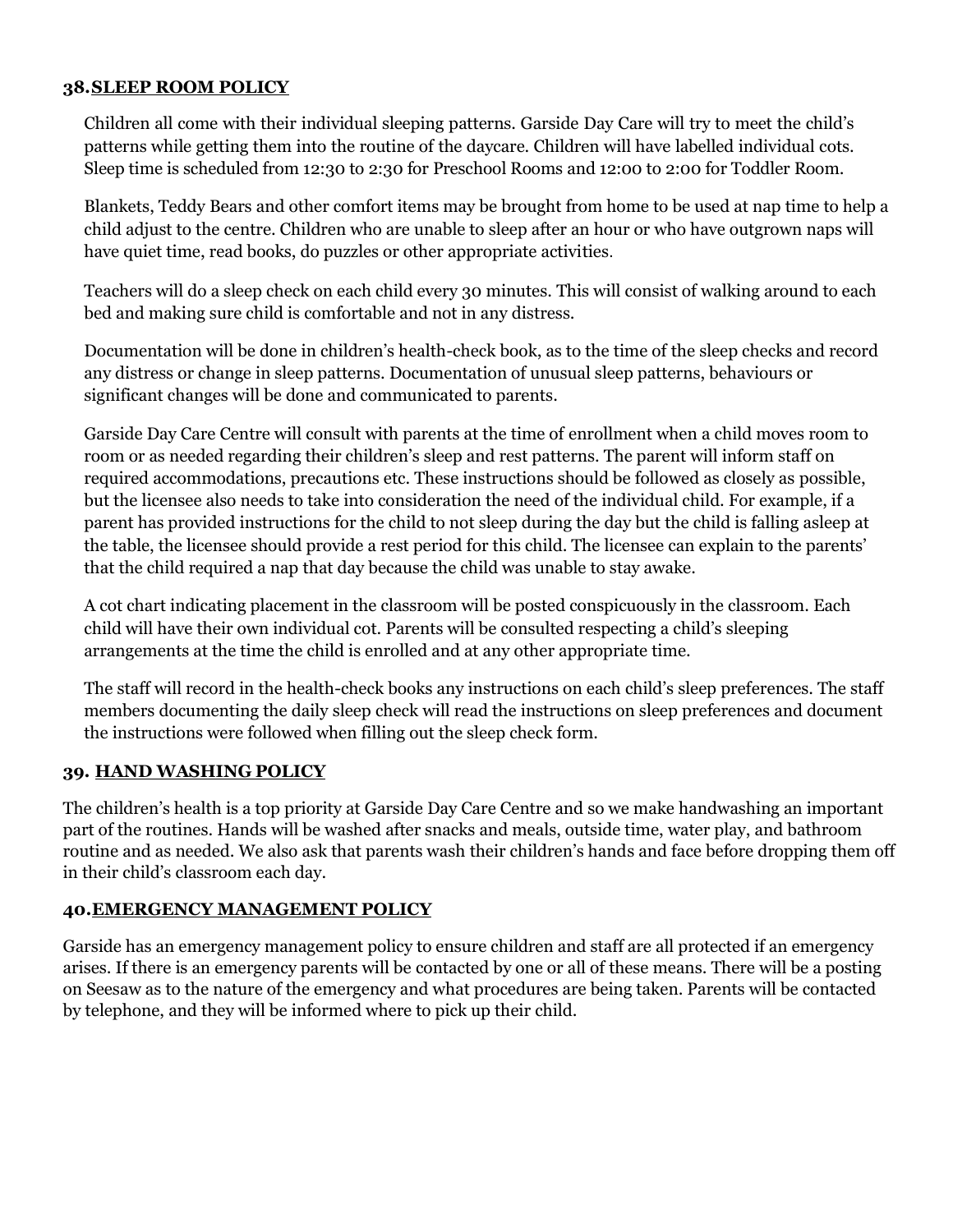#### **38.SLEEP ROOM POLICY**

Children all come with their individual sleeping patterns. Garside Day Care will try to meet the child's patterns while getting them into the routine of the daycare. Children will have labelled individual cots. Sleep time is scheduled from 12:30 to 2:30 for Preschool Rooms and 12:00 to 2:00 for Toddler Room.

Blankets, Teddy Bears and other comfort items may be brought from home to be used at nap time to help a child adjust to the centre. Children who are unable to sleep after an hour or who have outgrown naps will have quiet time, read books, do puzzles or other appropriate activities.

Teachers will do a sleep check on each child every 30 minutes. This will consist of walking around to each bed and making sure child is comfortable and not in any distress.

Documentation will be done in children's health-check book, as to the time of the sleep checks and record any distress or change in sleep patterns. Documentation of unusual sleep patterns, behaviours or significant changes will be done and communicated to parents.

Garside Day Care Centre will consult with parents at the time of enrollment when a child moves room to room or as needed regarding their children's sleep and rest patterns. The parent will inform staff on required accommodations, precautions etc. These instructions should be followed as closely as possible, but the licensee also needs to take into consideration the need of the individual child. For example, if a parent has provided instructions for the child to not sleep during the day but the child is falling asleep at the table, the licensee should provide a rest period for this child. The licensee can explain to the parents' that the child required a nap that day because the child was unable to stay awake.

A cot chart indicating placement in the classroom will be posted conspicuously in the classroom. Each child will have their own individual cot. Parents will be consulted respecting a child's sleeping arrangements at the time the child is enrolled and at any other appropriate time.

The staff will record in the health-check books any instructions on each child's sleep preferences. The staff members documenting the daily sleep check will read the instructions on sleep preferences and document the instructions were followed when filling out the sleep check form.

## **39. HAND WASHING POLICY**

The children's health is a top priority at Garside Day Care Centre and so we make handwashing an important part of the routines. Hands will be washed after snacks and meals, outside time, water play, and bathroom routine and as needed. We also ask that parents wash their children's hands and face before dropping them off in their child's classroom each day.

#### **40.EMERGENCY MANAGEMENT POLICY**

Garside has an emergency management policy to ensure children and staff are all protected if an emergency arises. If there is an emergency parents will be contacted by one or all of these means. There will be a posting on Seesaw as to the nature of the emergency and what procedures are being taken. Parents will be contacted by telephone, and they will be informed where to pick up their child.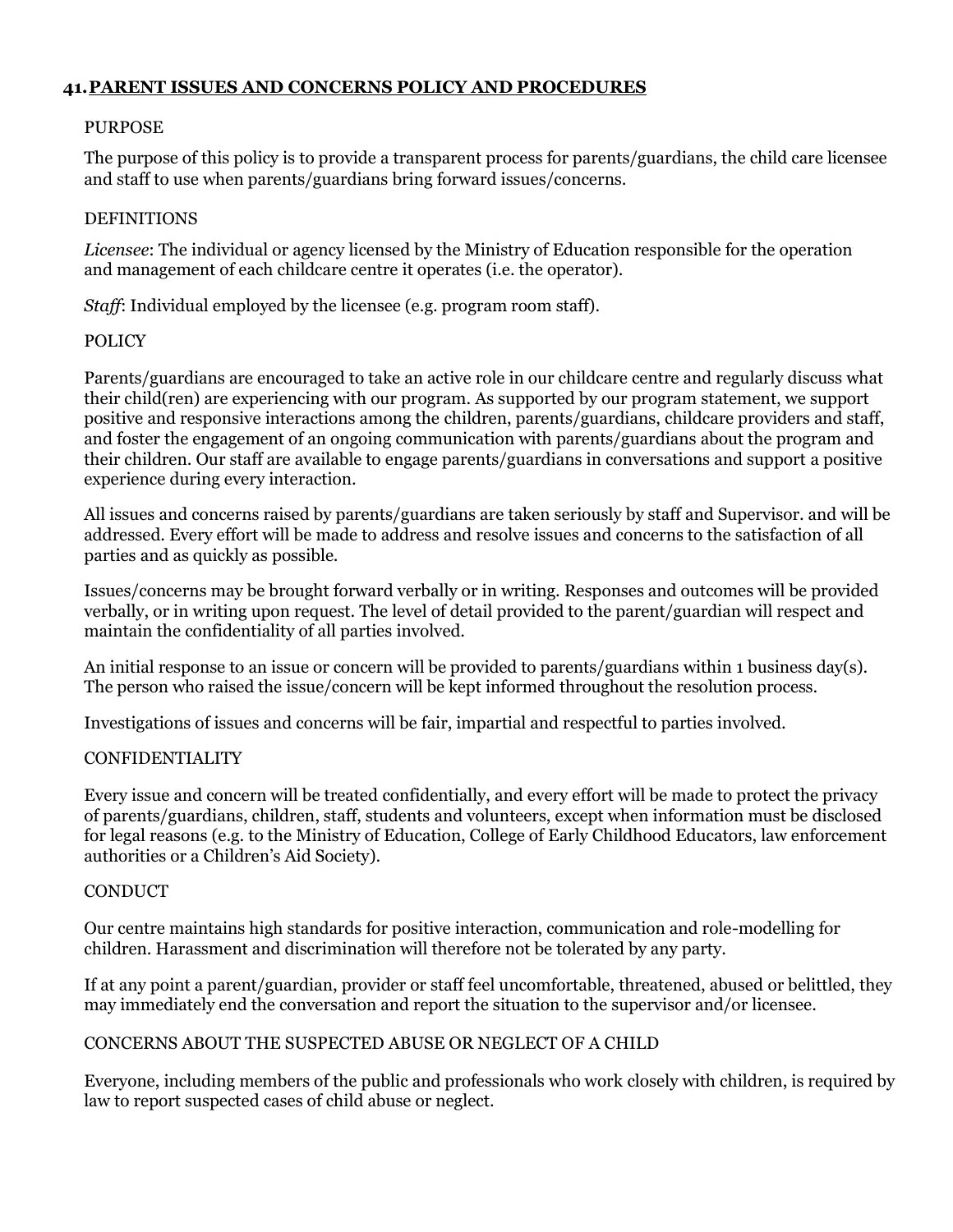#### **41.PARENT ISSUES AND CONCERNS POLICY AND PROCEDURES**

#### PURPOSE

The purpose of this policy is to provide a transparent process for parents/guardians, the child care licensee and staff to use when parents/guardians bring forward issues/concerns.

#### **DEFINITIONS**

*Licensee*: The individual or agency licensed by the Ministry of Education responsible for the operation and management of each childcare centre it operates (i.e. the operator).

*Staff*: Individual employed by the licensee (e.g. program room staff).

#### POLICY

Parents/guardians are encouraged to take an active role in our childcare centre and regularly discuss what their child(ren) are experiencing with our program. As supported by our program statement, we support positive and responsive interactions among the children, parents/guardians, childcare providers and staff, and foster the engagement of an ongoing communication with parents/guardians about the program and their children. Our staff are available to engage parents/guardians in conversations and support a positive experience during every interaction.

All issues and concerns raised by parents/guardians are taken seriously by staff and Supervisor. and will be addressed. Every effort will be made to address and resolve issues and concerns to the satisfaction of all parties and as quickly as possible.

Issues/concerns may be brought forward verbally or in writing. Responses and outcomes will be provided verbally, or in writing upon request. The level of detail provided to the parent/guardian will respect and maintain the confidentiality of all parties involved.

An initial response to an issue or concern will be provided to parents/guardians within 1 business day(s). The person who raised the issue/concern will be kept informed throughout the resolution process.

Investigations of issues and concerns will be fair, impartial and respectful to parties involved.

#### CONFIDENTIALITY

Every issue and concern will be treated confidentially, and every effort will be made to protect the privacy of parents/guardians, children, staff, students and volunteers, except when information must be disclosed for legal reasons (e.g. to the Ministry of Education, College of Early Childhood Educators, law enforcement authorities or a Children's Aid Society).

#### **CONDUCT**

Our centre maintains high standards for positive interaction, communication and role-modelling for children. Harassment and discrimination will therefore not be tolerated by any party.

If at any point a parent/guardian, provider or staff feel uncomfortable, threatened, abused or belittled, they may immediately end the conversation and report the situation to the supervisor and/or licensee.

#### CONCERNS ABOUT THE SUSPECTED ABUSE OR NEGLECT OF A CHILD

Everyone, including members of the public and professionals who work closely with children, is required by law to report suspected cases of child abuse or neglect.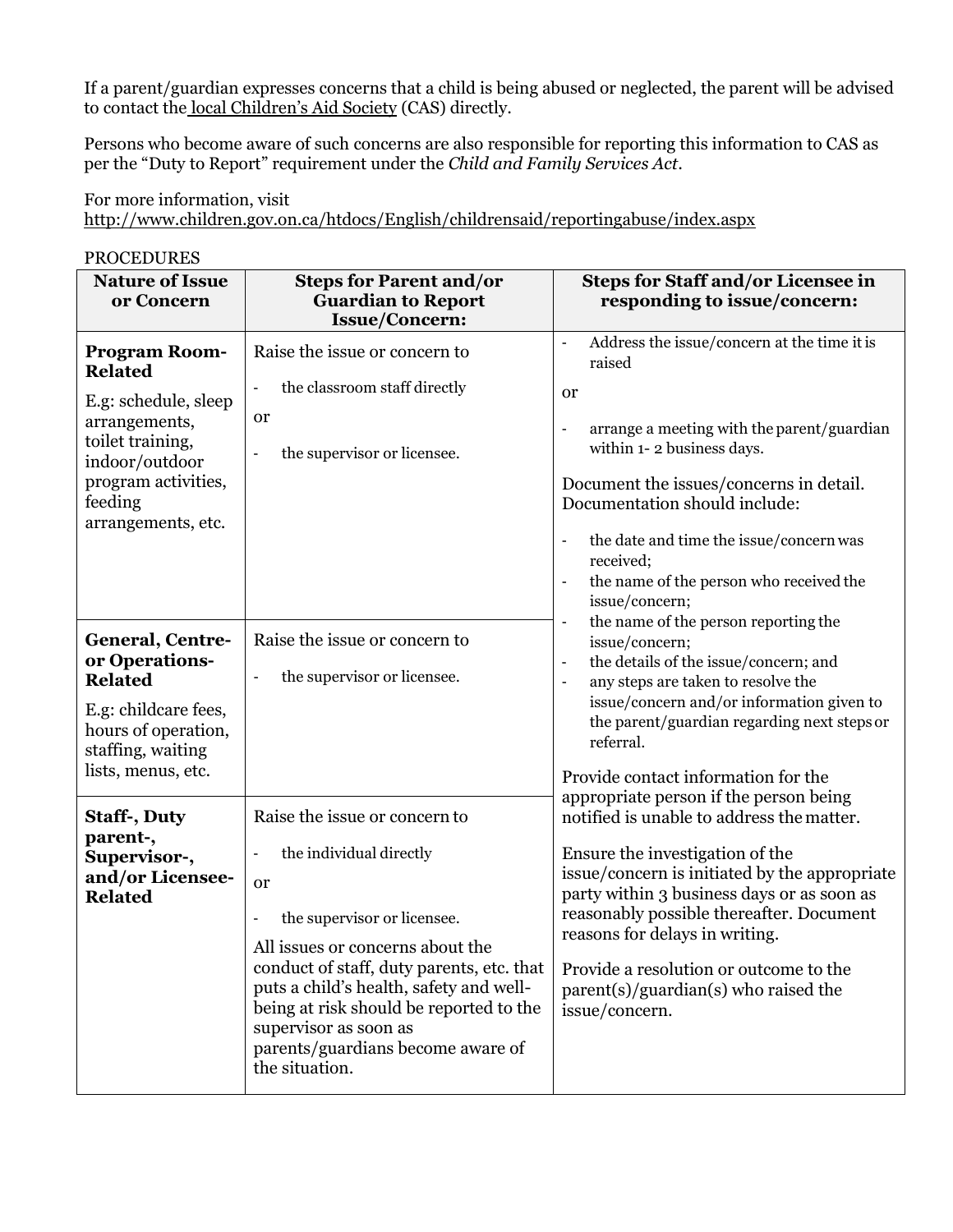If a parent/guardian expresses concerns that a child is being abused or neglected, the parent will be advised to contact the [local Children's Aid Society](http://www.children.gov.on.ca/htdocs/English/childrensaid/reportingabuse/CASLocations.aspx) (CAS) directly.

Persons who become aware of such concerns are also responsible for reporting this information to CAS as per the "Duty to Report" requirement under the *Child and Family Services Act*.

For more information, visit <http://www.children.gov.on.ca/htdocs/English/childrensaid/reportingabuse/index.aspx>

PROCEDURES **Nature of Issue or Concern Steps for Parent and/or Guardian to Report Issue/Concern: Steps for Staff and/or Licensee in responding to issue/concern: Program Room-Related** E.g: schedule, sleep arrangements, toilet training, indoor/outdoor program activities, feeding arrangements, etc. Raise the issue or concern to the classroom staff directly or - the supervisor or licensee. - Address the issue/concern at the time itis raised or - arrange a meeting with the parent/guardian within 1- 2 business days. Document the issues/concerns in detail. Documentation should include: - the date and time the issue/concern was received; - the name of the person who received the issue/concern; the name of the person reporting the issue/concern; the details of the issue/concern: and any steps are taken to resolve the issue/concern and/or information given to the parent/guardian regarding next steps or referral. Provide contact information for the appropriate person if the person being notified is unable to address the matter. Ensure the investigation of the issue/concern is initiated by the appropriate party within 3 business days or as soon as reasonably possible thereafter. Document reasons for delays in writing. Provide a resolution or outcome to the parent(s)/guardian(s) who raised the issue/concern. **General, Centreor Operations-Related** E.g: childcare fees, hours of operation, staffing, waiting lists, menus, etc. Raise the issue or concern to the supervisor or licensee. **Staff-, Duty parent-, Supervisor-, and/or Licensee-Related** Raise the issue or concern to the individual directly or the supervisor or licensee. All issues or concerns about the conduct of staff, duty parents, etc. that puts a child's health, safety and wellbeing at risk should be reported to the supervisor as soon as parents/guardians become aware of the situation.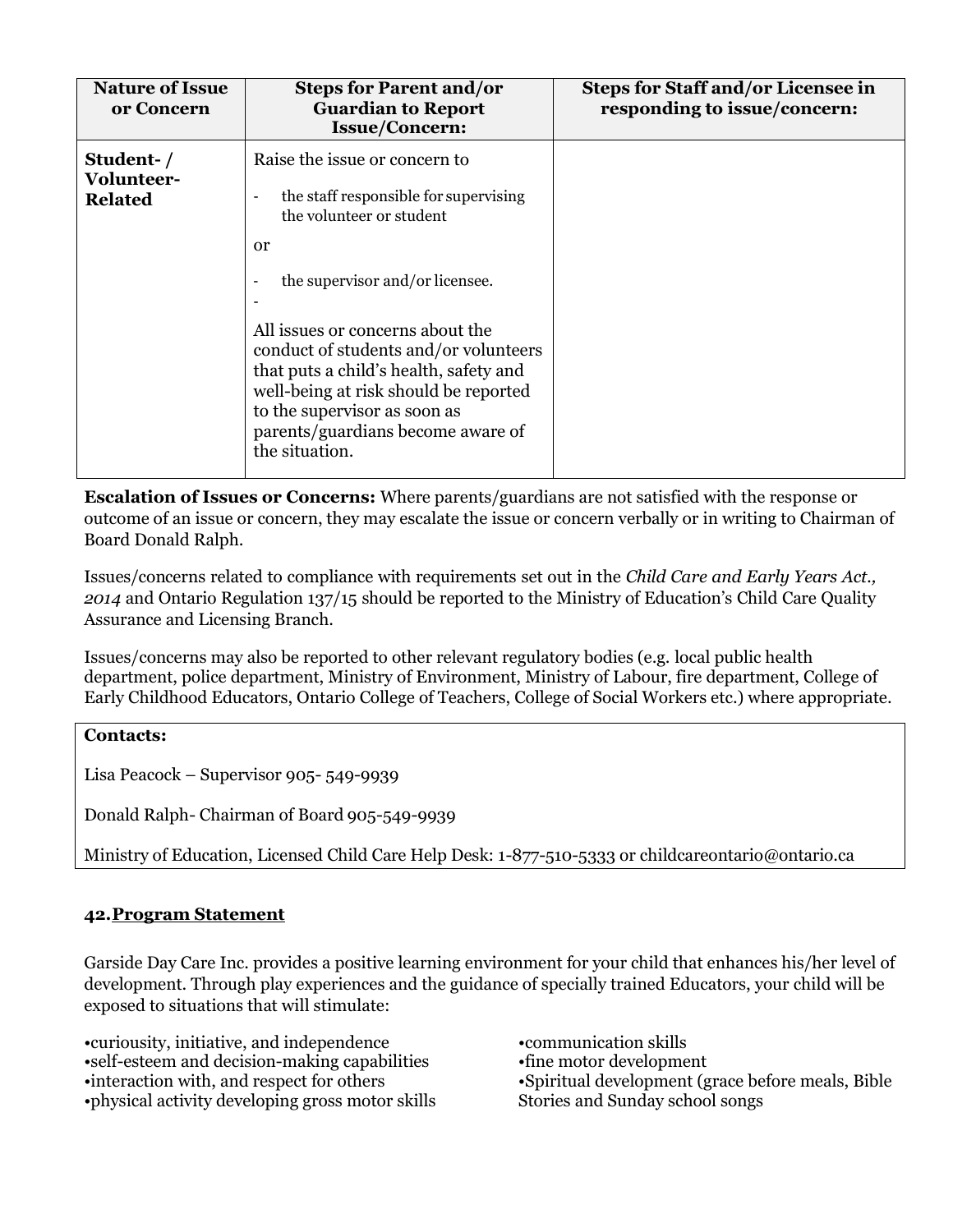| <b>Nature of Issue</b><br>or Concern      | <b>Steps for Parent and/or</b><br><b>Guardian to Report</b><br><b>Issue/Concern:</b>                                                                                                                                                                                                                                                                                                                               | <b>Steps for Staff and/or Licensee in</b><br>responding to issue/concern: |
|-------------------------------------------|--------------------------------------------------------------------------------------------------------------------------------------------------------------------------------------------------------------------------------------------------------------------------------------------------------------------------------------------------------------------------------------------------------------------|---------------------------------------------------------------------------|
| Student-/<br>Volunteer-<br><b>Related</b> | Raise the issue or concern to<br>the staff responsible for supervising<br>٠<br>the volunteer or student<br><sub>or</sub><br>the supervisor and/or licensee.<br>All issues or concerns about the<br>conduct of students and/or volunteers<br>that puts a child's health, safety and<br>well-being at risk should be reported<br>to the supervisor as soon as<br>parents/guardians become aware of<br>the situation. |                                                                           |
|                                           |                                                                                                                                                                                                                                                                                                                                                                                                                    |                                                                           |

**Escalation of Issues or Concerns:** Where parents/guardians are not satisfied with the response or outcome of an issue or concern, they may escalate the issue or concern verbally or in writing to Chairman of Board Donald Ralph.

Issues/concerns related to compliance with requirements set out in the *Child Care and Early Years Act., 2014* and Ontario Regulation 137/15 should be reported to the Ministry of Education's Child Care Quality Assurance and Licensing Branch.

Issues/concerns may also be reported to other relevant regulatory bodies (e.g. local public health department, police department, Ministry of Environment, Ministry of Labour, fire department, College of Early Childhood Educators, Ontario College of Teachers, College of Social Workers etc.) where appropriate.

#### **Contacts:**

Lisa Peacock – Supervisor 905- 549-9939

Donald Ralph- Chairman of Board 905-549-9939

Ministry of Education, Licensed Child Care Help Desk: 1-877-510-5333 or [childcareontario@ontario.ca](mailto:childcareontario@ontario.ca)

## **42.Program Statement**

Garside Day Care Inc. provides a positive learning environment for your child that enhances his/her level of development. Through play experiences and the guidance of specially trained Educators, your child will be exposed to situations that will stimulate:

•curiousity, initiative, and independence •self-esteem and decision-making capabilities •interaction with, and respect for others •physical activity developing gross motor skills

•communication skills •fine motor development •Spiritual development (grace before meals, Bible Stories and Sunday school songs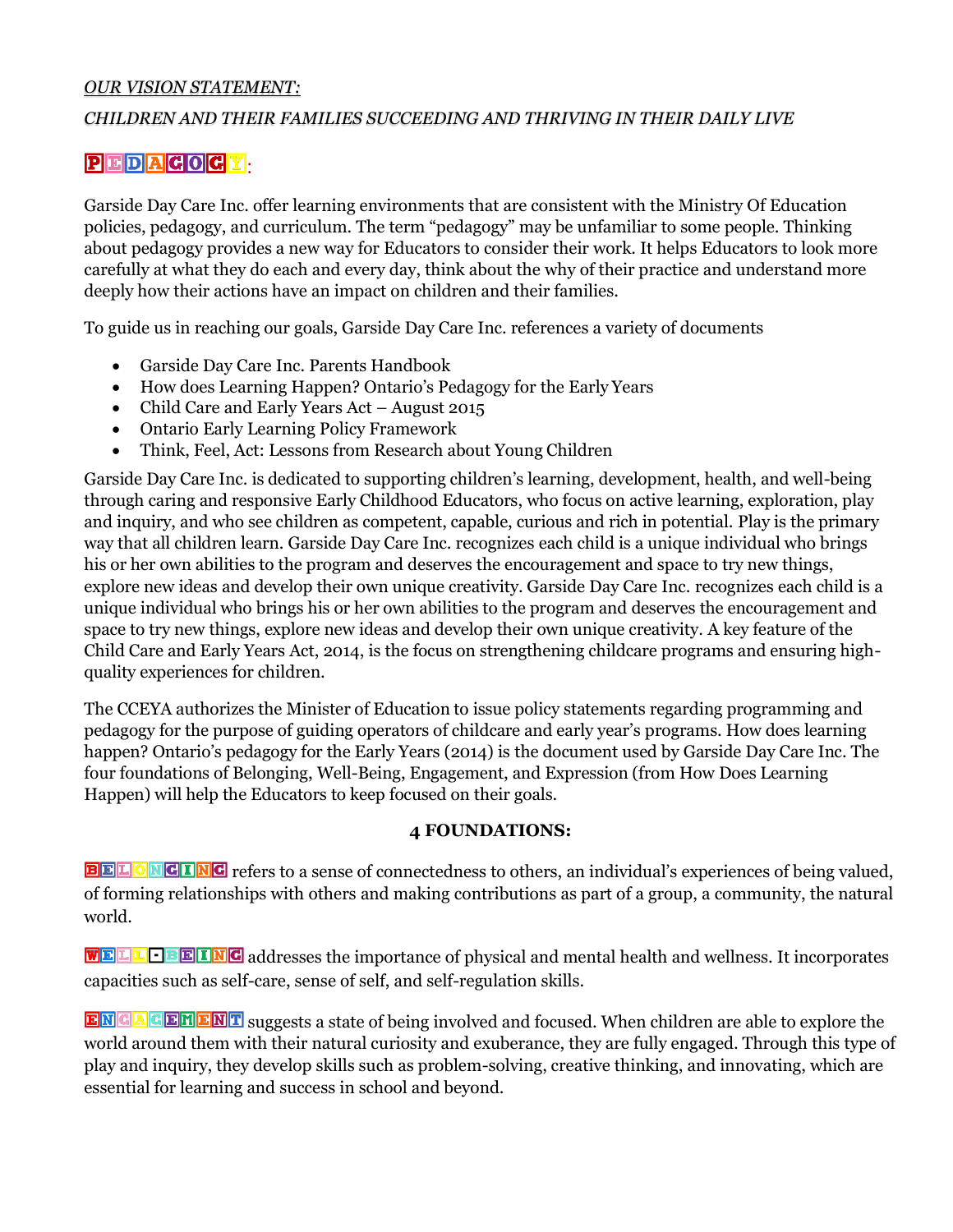#### *OUR VISION STATEMENT:*

#### *CHILDREN AND THEIR FAMILIES SUCCEEDING AND THRIVING IN THEIR DAILY LIVE*

#### $PIEDIA$ **GOGY**

Garside Day Care Inc. offer learning environments that are consistent with the Ministry Of Education policies, pedagogy, and curriculum. The term "pedagogy" may be unfamiliar to some people. Thinking about pedagogy provides a new way for Educators to consider their work. It helps Educators to look more carefully at what they do each and every day, think about the why of their practice and understand more deeply how their actions have an impact on children and their families.

To guide us in reaching our goals, Garside Day Care Inc. references a variety of documents

- Garside Day Care Inc. Parents Handbook
- How does Learning Happen? Ontario's Pedagogy for the Early Years
- Child Care and Early Years Act August 2015
- Ontario Early Learning Policy Framework
- Think, Feel, Act: Lessons from Research about Young Children

Garside Day Care Inc. is dedicated to supporting children's learning, development, health, and well-being through caring and responsive Early Childhood Educators, who focus on active learning, exploration, play and inquiry, and who see children as competent, capable, curious and rich in potential. Play is the primary way that all children learn. Garside Day Care Inc. recognizes each child is a unique individual who brings his or her own abilities to the program and deserves the encouragement and space to try new things, explore new ideas and develop their own unique creativity. Garside Day Care Inc. recognizes each child is a unique individual who brings his or her own abilities to the program and deserves the encouragement and space to try new things, explore new ideas and develop their own unique creativity. A key feature of the Child Care and Early Years Act, 2014, is the focus on strengthening childcare programs and ensuring highquality experiences for children.

The CCEYA authorizes the Minister of Education to issue policy statements regarding programming and pedagogy for the purpose of guiding operators of childcare and early year's programs. How does learning happen? Ontario's pedagogy for the Early Years (2014) is the document used by Garside Day Care Inc. The four foundations of Belonging, Well-Being, Engagement, and Expression (from How Does Learning Happen) will help the Educators to keep focused on their goals.

#### **4 FOUNDATIONS:**

**EELONGING** refers to a sense of connectedness to others, an individual's experiences of being valued, of forming relationships with others and making contributions as part of a group, a community, the natural world.

**WELL OBEING** addresses the importance of physical and mental health and wellness. It incorporates capacities such as self-care, sense of self, and self-regulation skills.

ENGAGEMENT suggests a state of being involved and focused. When children are able to explore the world around them with their natural curiosity and exuberance, they are fully engaged. Through this type of play and inquiry, they develop skills such as problem-solving, creative thinking, and innovating, which are essential for learning and success in school and beyond.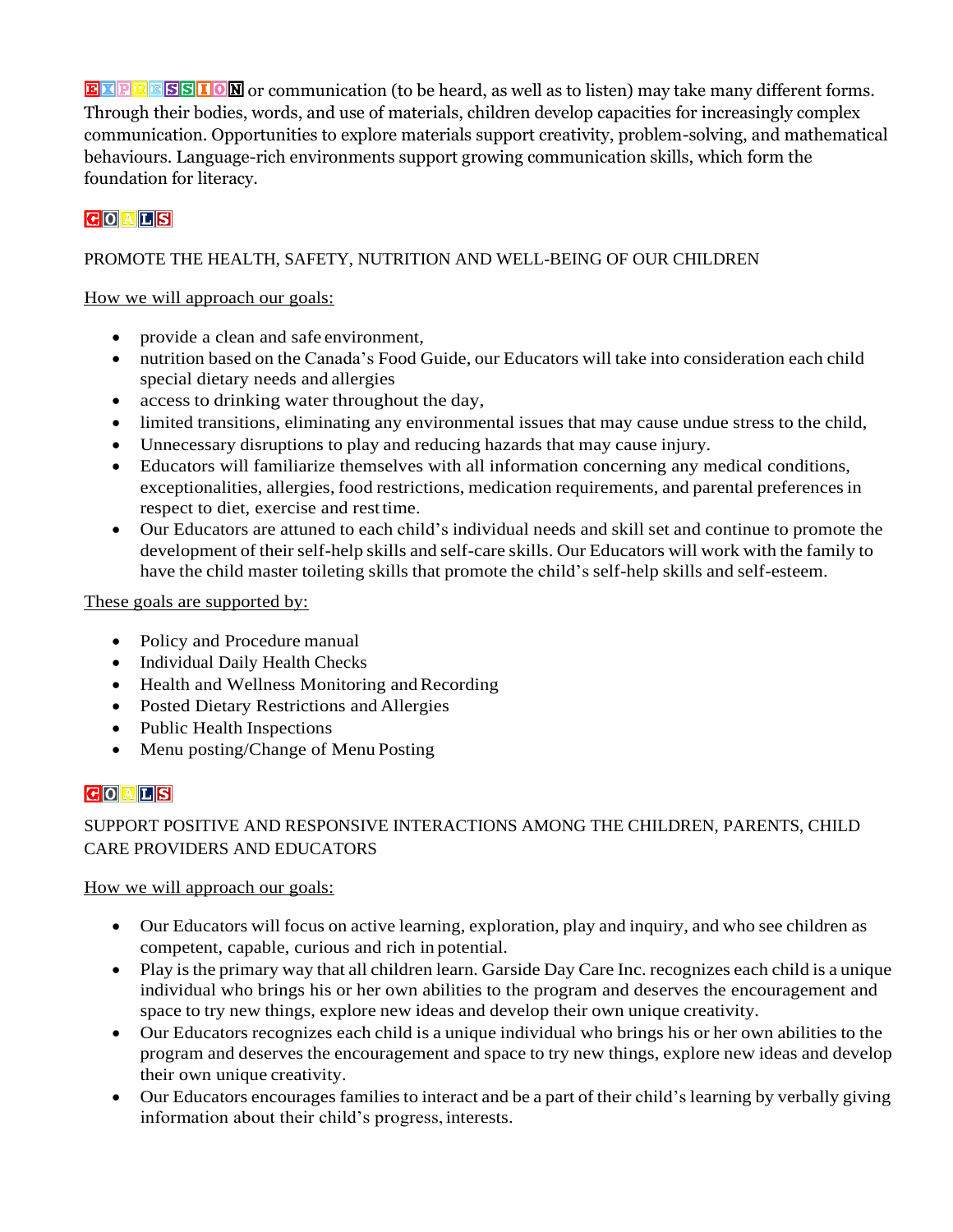EXPRESSION or communication (to be heard, as well as to listen) may take many different forms. Through their bodies, words, and use of materials, children develop capacities for increasingly complex communication. Opportunities to explore materials support creativity, problem-solving, and mathematical behaviours. Language-rich environments support growing communication skills, which form the foundation for literacy.

# $G$ <sup> $A$  $L$ </sup> $S$

## PROMOTE THE HEALTH, SAFETY, NUTRITION AND WELL-BEING OF OUR CHILDREN

#### How we will approach our goals:

- provide a clean and safe environment,
- nutrition based on the Canada's Food Guide, our Educators will take into consideration each child special dietary needs and allergies
- access to drinking water throughout the day,
- limited transitions, eliminating any environmental issues that may cause undue stress to the child,
- Unnecessary disruptions to play and reducing hazards that may cause injury.
- Educators will familiarize themselves with all information concerning any medical conditions, exceptionalities, allergies, food restrictions, medication requirements, and parental preferences in respect to diet, exercise and resttime.
- Our Educators are attuned to each child's individual needs and skill set and continue to promote the development of their self-help skills and self-care skills. Our Educators will work with the family to have the child master toileting skills that promote the child's self-help skills and self-esteem.

#### These goals are supported by:

- Policy and Procedure manual
- Individual Daily Health Checks
- Health and Wellness Monitoring and Recording
- Posted Dietary Restrictions and Allergies
- Public Health Inspections
- Menu posting/Change of Menu Posting

## $G$ <sup> $A$  $E$ </sup> $S$

# SUPPORT POSITIVE AND RESPONSIVE INTERACTIONS AMONG THE CHILDREN, PARENTS, CHILD CARE PROVIDERS AND EDUCATORS

#### How we will approach our goals:

- Our Educators will focus on active learning, exploration, play and inquiry, and who see children as competent, capable, curious and rich in potential.
- Play is the primary way that all children learn. Garside Day Care Inc. recognizes each child is a unique individual who brings his or her own abilities to the program and deserves the encouragement and space to try new things, explore new ideas and develop their own unique creativity.
- Our Educators recognizes each child is a unique individual who brings his or her own abilities to the program and deserves the encouragement and space to try new things, explore new ideas and develop their own unique creativity.
- Our Educators encouragesfamiliesto interact and be a part of their child's learning by verbally giving information about their child's progress, interests.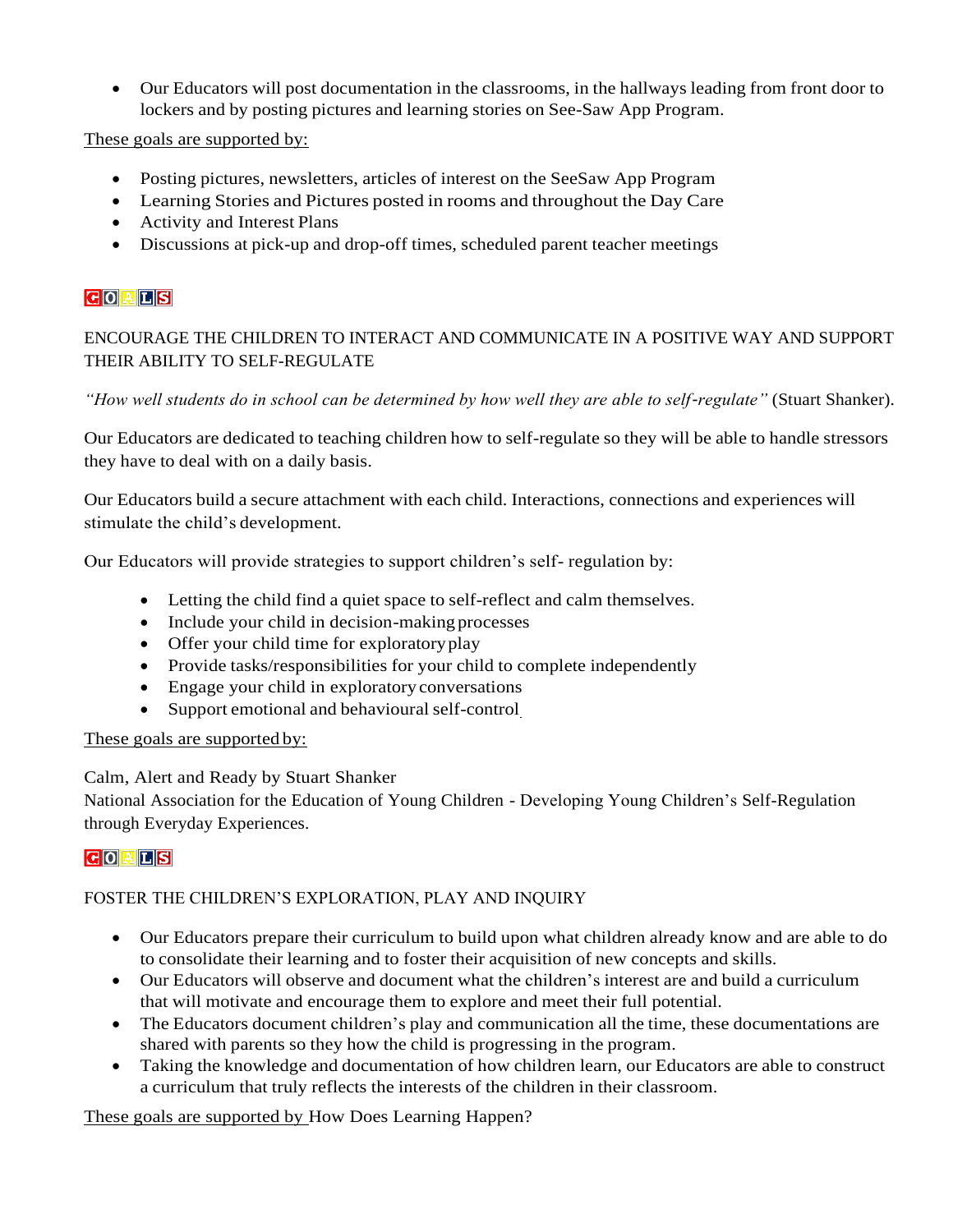• Our Educators will post documentation in the classrooms, in the hallways leading from front door to lockers and by posting pictures and learning stories on See-Saw App Program.

These goals are supported by:

- Posting pictures, newsletters, articles of interest on the SeeSaw App Program
- Learning Stories and Pictures posted in rooms and throughout the Day Care
- Activity and Interest Plans
- Discussions at pick-up and drop-off times, scheduled parent teacher meetings

# **COALS**

# ENCOURAGE THE CHILDREN TO INTERACT AND COMMUNICATE IN A POSITIVE WAY AND SUPPORT THEIR ABILITY TO SELF-REGULATE

*"How well students do in school can be determined by how well they are able to self-regulate"* (Stuart Shanker).

Our Educators are dedicated to teaching children how to self-regulate so they will be able to handle stressors they have to deal with on a daily basis.

Our Educators build a secure attachment with each child. Interactions, connections and experiences will stimulate the child's development.

Our Educators will provide strategies to support children's self- regulation by:

- Letting the child find a quiet space to self-reflect and calm themselves.
- Include your child in decision-making processes
- Offer your child time for exploratory play
- Provide tasks/responsibilities for your child to complete independently
- Engage your child in exploratory conversations
- Support emotional and behavioural self-control

#### These goals are supported by:

#### Calm, Alert and Ready by Stuart Shanker

National Association for the Education of Young Children - Developing Young Children's Self-Regulation through Everyday Experiences.

## GOALS

## FOSTER THE CHILDREN'S EXPLORATION, PLAY AND INQUIRY

- Our Educators prepare their curriculum to build upon what children already know and are able to do to consolidate their learning and to foster their acquisition of new concepts and skills.
- Our Educators will observe and document what the children's interest are and build a curriculum that will motivate and encourage them to explore and meet their full potential.
- The Educators document children's play and communication all the time, these documentations are shared with parents so they how the child is progressing in the program.
- Taking the knowledge and documentation of how children learn, our Educators are able to construct a curriculum that truly reflects the interests of the children in their classroom.

These goals are supported by How Does Learning Happen?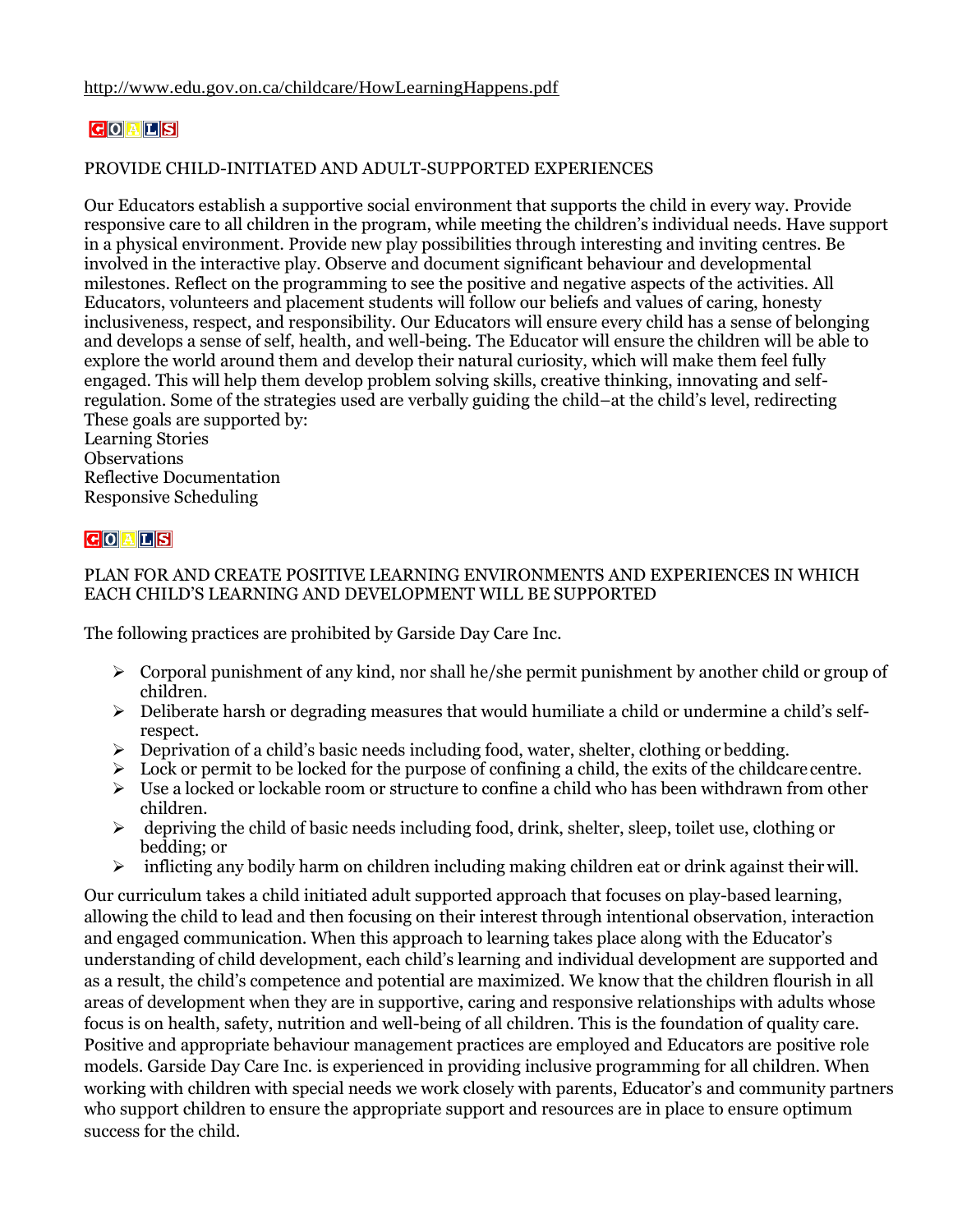# $G$ <sup> $A$  $L$ </sup> $S$

#### PROVIDE CHILD-INITIATED AND ADULT-SUPPORTED EXPERIENCES

Our Educators establish a supportive social environment that supports the child in every way. Provide responsive care to all children in the program, while meeting the children's individual needs. Have support in a physical environment. Provide new play possibilities through interesting and inviting centres. Be involved in the interactive play. Observe and document significant behaviour and developmental milestones. Reflect on the programming to see the positive and negative aspects of the activities. All Educators, volunteers and placement students will follow our beliefs and values of caring, honesty inclusiveness, respect, and responsibility. Our Educators will ensure every child has a sense of belonging and develops a sense of self, health, and well-being. The Educator will ensure the children will be able to explore the world around them and develop their natural curiosity, which will make them feel fully engaged. This will help them develop problem solving skills, creative thinking, innovating and selfregulation. Some of the strategies used are verbally guiding the child–at the child's level, redirecting These goals are supported by:

Learning Stories **Observations** Reflective Documentation Responsive Scheduling

#### $G$ <sup> $A$  $I$  $S$ </sup>

#### PLAN FOR AND CREATE POSITIVE LEARNING ENVIRONMENTS AND EXPERIENCES IN WHICH EACH CHILD'S LEARNING AND DEVELOPMENT WILL BE SUPPORTED

The following practices are prohibited by Garside Day Care Inc.

- $\triangleright$  Corporal punishment of any kind, nor shall he/she permit punishment by another child or group of children.
- $\triangleright$  Deliberate harsh or degrading measures that would humiliate a child or undermine a child's selfrespect.
- $\triangleright$  Deprivation of a child's basic needs including food, water, shelter, clothing or bedding.
- $\triangleright$  Lock or permit to be locked for the purpose of confining a child, the exits of the childcare centre.
- $\triangleright$  Use a locked or lockable room or structure to confine a child who has been withdrawn from other children.
- $\triangleright$  depriving the child of basic needs including food, drink, shelter, sleep, toilet use, clothing or bedding; or
- $\triangleright$  inflicting any bodily harm on children including making children eat or drink against their will.

Our curriculum takes a child initiated adult supported approach that focuses on play-based learning, allowing the child to lead and then focusing on their interest through intentional observation, interaction and engaged communication. When this approach to learning takes place along with the Educator's understanding of child development, each child's learning and individual development are supported and as a result, the child's competence and potential are maximized. We know that the children flourish in all areas of development when they are in supportive, caring and responsive relationships with adults whose focus is on health, safety, nutrition and well-being of all children. This is the foundation of quality care. Positive and appropriate behaviour management practices are employed and Educators are positive role models. Garside Day Care Inc. is experienced in providing inclusive programming for all children. When working with children with special needs we work closely with parents, Educator's and community partners who support children to ensure the appropriate support and resources are in place to ensure optimum success for the child.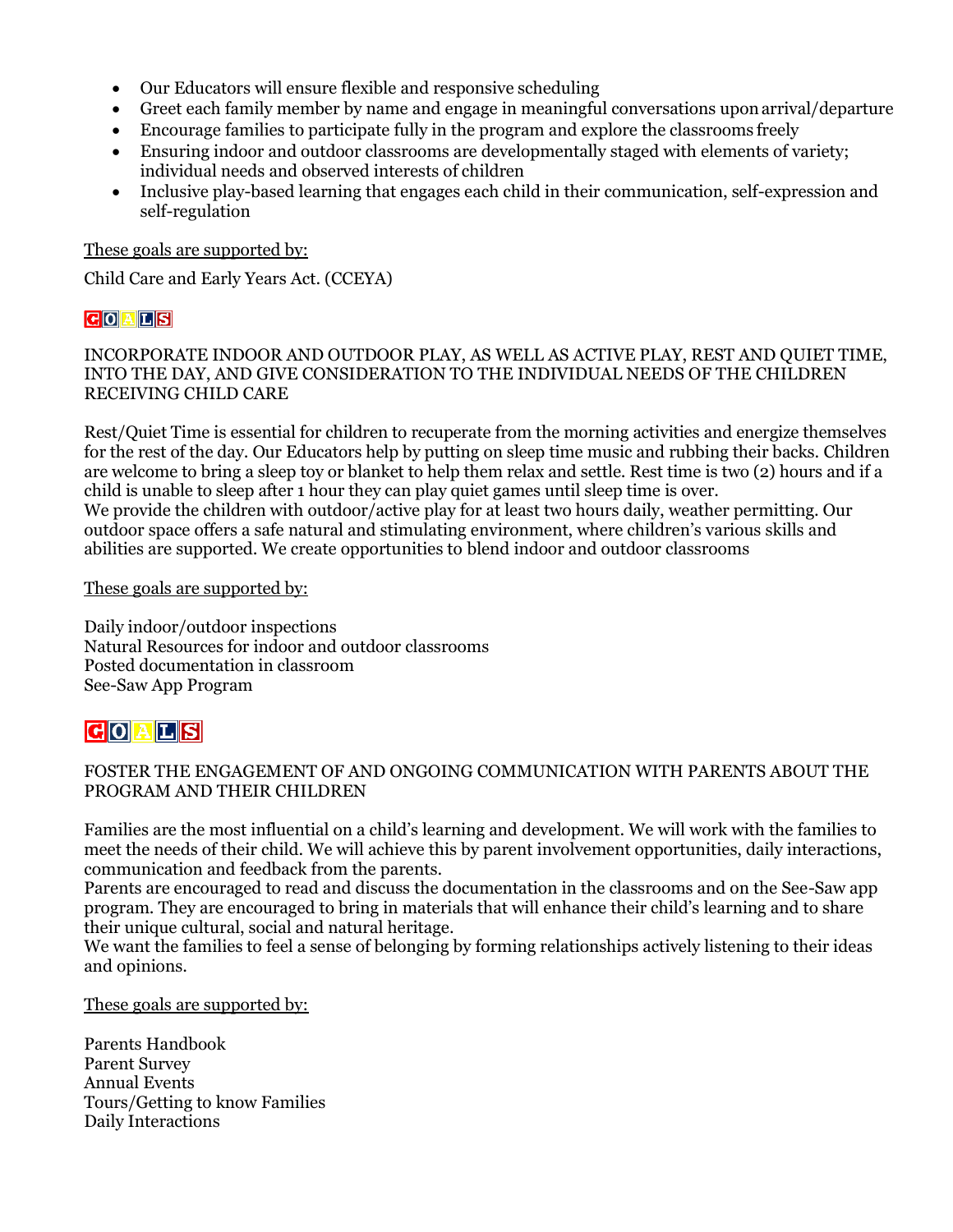- Our Educators will ensure flexible and responsive scheduling
- Greet each family member by name and engage in meaningful conversations uponarrival/departure
- Encourage families to participate fully in the program and explore the classrooms freely
- Ensuring indoor and outdoor classrooms are developmentally staged with elements of variety; individual needs and observed interests of children
- Inclusive play-based learning that engages each child in their communication, self-expression and self-regulation

These goals are supported by:

Child Care and Early Years Act. (CCEYA)

#### $G$  $O$  $A$  $L$  $S$

INCORPORATE INDOOR AND OUTDOOR PLAY, AS WELL AS ACTIVE PLAY, REST AND QUIET TIME, INTO THE DAY, AND GIVE CONSIDERATION TO THE INDIVIDUAL NEEDS OF THE CHILDREN RECEIVING CHILD CARE

Rest/Quiet Time is essential for children to recuperate from the morning activities and energize themselves for the rest of the day. Our Educators help by putting on sleep time music and rubbing their backs. Children are welcome to bring a sleep toy or blanket to help them relax and settle. Rest time is two (2) hours and if a child is unable to sleep after 1 hour they can play quiet games until sleep time is over. We provide the children with outdoor/active play for at least two hours daily, weather permitting. Our outdoor space offers a safe natural and stimulating environment, where children's various skills and abilities are supported. We create opportunities to blend indoor and outdoor classrooms

These goals are supported by:

Daily indoor/outdoor inspections Natural Resources for indoor and outdoor classrooms Posted documentation in classroom See-Saw App Program

# **GOALS**

#### FOSTER THE ENGAGEMENT OF AND ONGOING COMMUNICATION WITH PARENTS ABOUT THE PROGRAM AND THEIR CHILDREN

Families are the most influential on a child's learning and development. We will work with the families to meet the needs of their child. We will achieve this by parent involvement opportunities, daily interactions, communication and feedback from the parents.

Parents are encouraged to read and discuss the documentation in the classrooms and on the See-Saw app program. They are encouraged to bring in materials that will enhance their child's learning and to share their unique cultural, social and natural heritage.

We want the families to feel a sense of belonging by forming relationships actively listening to their ideas and opinions.

These goals are supported by:

Parents Handbook Parent Survey Annual Events Tours/Getting to know Families Daily Interactions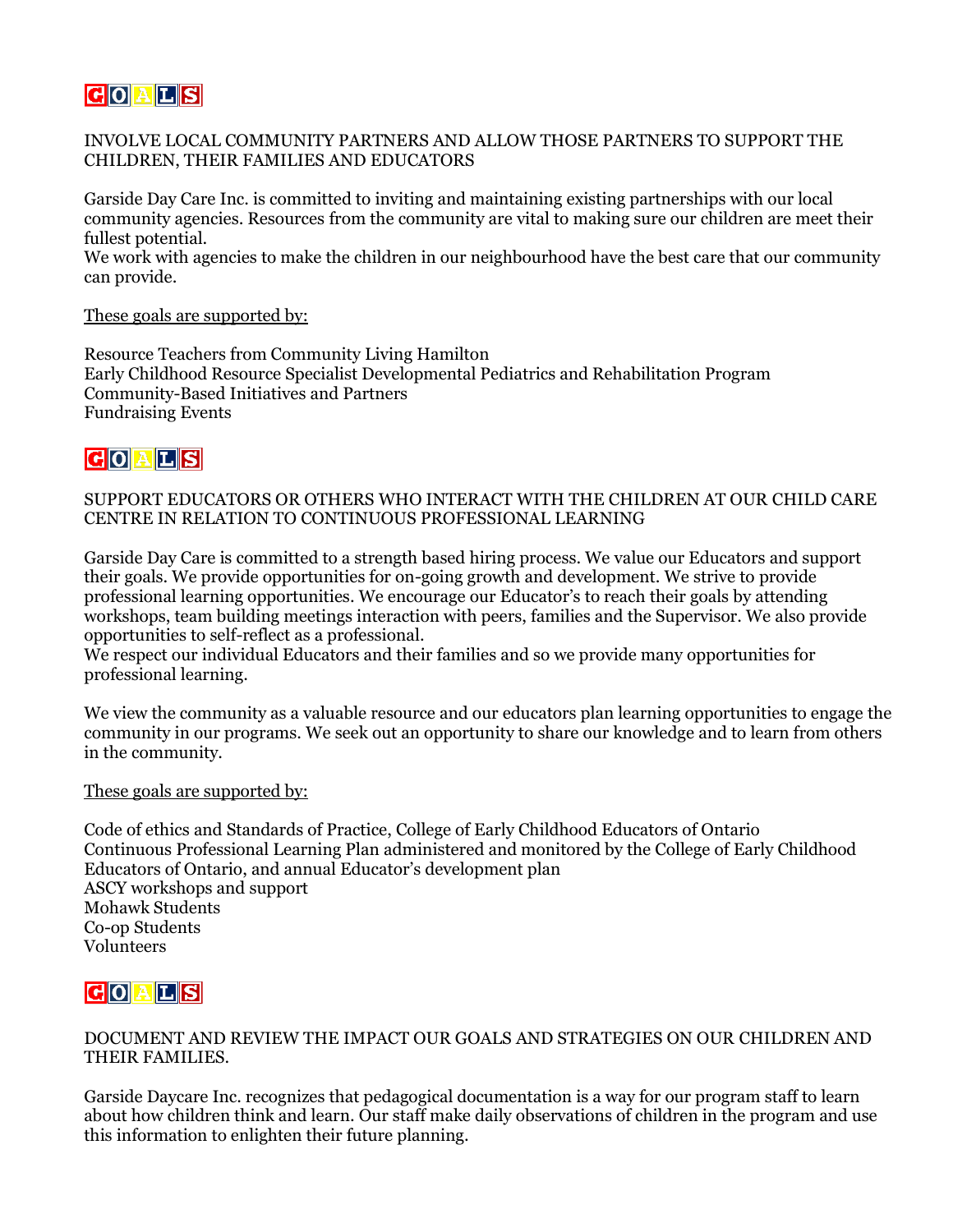# **COALS**

#### INVOLVE LOCAL COMMUNITY PARTNERS AND ALLOW THOSE PARTNERS TO SUPPORT THE CHILDREN, THEIR FAMILIES AND EDUCATORS

Garside Day Care Inc. is committed to inviting and maintaining existing partnerships with our local community agencies. Resources from the community are vital to making sure our children are meet their fullest potential.

We work with agencies to make the children in our neighbourhood have the best care that our community can provide.

#### These goals are supported by:

Resource Teachers from Community Living Hamilton Early Childhood Resource Specialist Developmental Pediatrics and Rehabilitation Program Community-Based Initiatives and Partners Fundraising Events

# **GOALS**

#### SUPPORT EDUCATORS OR OTHERS WHO INTERACT WITH THE CHILDREN AT OUR CHILD CARE CENTRE IN RELATION TO CONTINUOUS PROFESSIONAL LEARNING

Garside Day Care is committed to a strength based hiring process. We value our Educators and support their goals. We provide opportunities for on-going growth and development. We strive to provide professional learning opportunities. We encourage our Educator's to reach their goals by attending workshops, team building meetings interaction with peers, families and the Supervisor. We also provide opportunities to self-reflect as a professional.

We respect our individual Educators and their families and so we provide many opportunities for professional learning.

We view the community as a valuable resource and our educators plan learning opportunities to engage the community in our programs. We seek out an opportunity to share our knowledge and to learn from others in the community.

#### These goals are supported by:

Code of ethics and Standards of Practice, College of Early Childhood Educators of Ontario Continuous Professional Learning Plan administered and monitored by the College of Early Childhood Educators of Ontario, and annual Educator's development plan ASCY workshops and support Mohawk Students Co-op Students Volunteers

# **COALS**

#### DOCUMENT AND REVIEW THE IMPACT OUR GOALS AND STRATEGIES ON OUR CHILDREN AND THEIR FAMILIES.

Garside Daycare Inc. recognizes that pedagogical documentation is a way for our program staff to learn about how children think and learn. Our staff make daily observations of children in the program and use this information to enlighten their future planning.